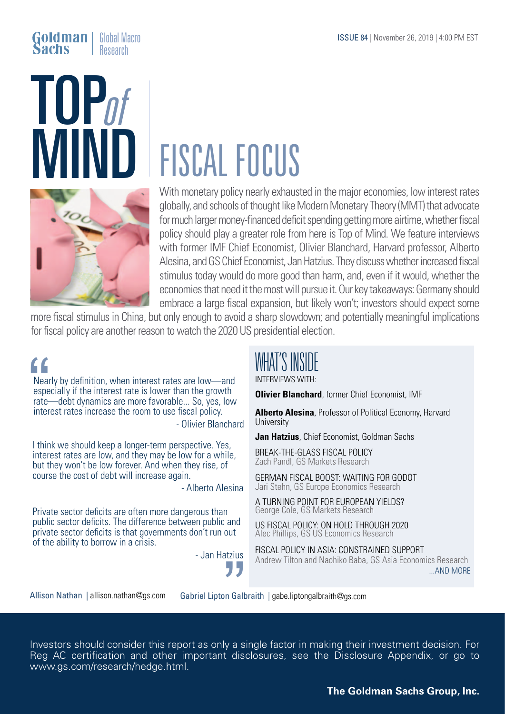





# FISCAL FOCUS

With monetary policy nearly exhausted in the major economies, low interest rates globally, and schools of thought like Modern Monetary Theory (MMT) that advocate for much larger money-financed deficit spending getting more airtime, whether fiscal policy should play a greater role from here is Top of Mind. We feature interviews with former IMF Chief Economist, Olivier Blanchard, Harvard professor, Alberto Alesina, and GS Chief Economist, Jan Hatzius. They discuss whether increased fiscal stimulus today would do more good than harm, and, even if it would, whether the economies that need it the most will pursue it. Our key takeaways: Germany should embrace a large fiscal expansion, but likely won't; investors should expect some

more fiscal stimulus in China, but only enough to avoid a sharp slowdown; and potentially meaningful implications for fiscal policy are another reason to watch the 2020 US presidential election.

Search<br>
Nearcheape<br>
Fate-Nearly by definition, when interest rates are low—and especially if the interest rate is lower than the growth rate—debt dynamics are more favorable... So, yes, low interest rates increase the room to use fiscal policy. - Olivier Blanchard

I think we should keep a longer-term perspective. Yes, interest rates are low, and they may be low for a while, but they won't be low forever. And when they rise, of course the cost of debt will increase again.

- Alberto Alesina

Private sector deficits are often more dangerous than public sector deficits. The difference between public and private sector deficits is that governments don't run out of the ability to borrow in a crisis.

" - Jan Hatzius

# WHAT'S INSIDE

INTERVIEWS WITH:

**Olivier Blanchard**, former Chief Economist, IMF

**Alberto Alesina**, Professor of Political Economy, Harvard **University** 

**Jan Hatzius**, Chief Economist, Goldman Sachs

BREAK-THE-GLASS FISCAL POLICY Zach Pandl, GS Markets Research

GERMAN FISCAL BOOST: WAITING FOR GODOT Jari Stehn, GS Europe Economics Research

A TURNING POINT FOR EUROPEAN YIELDS? George Cole, GS Markets Research

US FISCAL POLICY: ON HOLD THROUGH 2020 Alec Phillips, GS US Economics Research

FISCAL POLICY IN ASIA: CONSTRAINED SUPPORT Andrew Tilton and Naohiko Baba, GS Asia Economics Research ...AND MORE

Allison Nathan | allison.nathan@gs.com Gabriel Lipton Galbraith | gabe.liptongalbraith@gs.com

Investors should consider this report as only a single factor in making their investment decision. For Reg AC certification and other important disclosures, see the Disclosure Appendix, or go to www.gs.com/research/hedge.html.

**The Goldman Sachs Group, Inc.**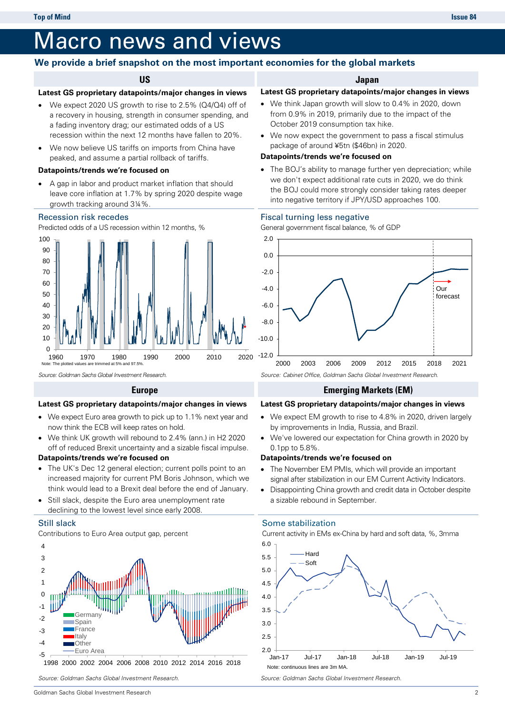# Macro news and views

### **We provide a brief snapshot on the most important economies for the global markets**

#### **Latest GS proprietary datapoints/major changes in views**

- We expect 2020 US growth to rise to 2.5% (Q4/Q4) off of a recovery in housing, strength in consumer spending, and a fading inventory drag; our estimated odds of a US recession within the next 12 months have fallen to 20%.
- We now believe US tariffs on imports from China have peaked, and assume a partial rollback of tariffs.

#### **Datapoints/trends we're focused on**

• A gap in labor and product market inflation that should leave core inflation at 1.7% by spring 2020 despite wage growth tracking around 3¼%.



#### **Latest GS proprietary datapoints/major changes in views**

- We expect Euro area growth to pick up to 1.1% next year and now think the ECB will keep rates on hold.
- We think UK growth will rebound to 2.4% (ann.) in H2 2020 off of reduced Brexit uncertainty and a sizable fiscal impulse.

#### **Datapoints/trends we're focused on**

- The UK's Dec 12 general election; current polls point to an increased majority for current PM Boris Johnson, which we think would lead to a Brexit deal before the end of January.
- Still slack, despite the Euro area unemployment rate declining to the lowest level since early 2008.

#### Still slack

Contributions to Euro Area output gap, percent



*Source: Goldman Sachs Global Investment Research. Source: Goldman Sachs Global Investment Research.*

### **US Japan**

#### **Latest GS proprietary datapoints/major changes in views**

- We think Japan growth will slow to 0.4% in 2020, down from 0.9% in 2019, primarily due to the impact of the October 2019 consumption tax hike.
- We now expect the government to pass a fiscal stimulus package of around ¥5tn (\$46bn) in 2020.

#### **Datapoints/trends we're focused on**

• The BOJ's ability to manage further yen depreciation; while we don't expect additional rate cuts in 2020, we do think the BOJ could more strongly consider taking rates deeper into negative territory if JPY/USD approaches 100.

#### Fiscal turning less negative

General government fiscal balance, % of GDP



*Source: Goldman Sachs Global Investment Research. Source: Cabinet Office, Goldman Sachs Global Investment Research.*

#### **Europe Emerging Markets (EM)**

#### **Latest GS proprietary datapoints/major changes in views**

- We expect EM growth to rise to 4.8% in 2020, driven largely by improvements in India, Russia, and Brazil.
- We've lowered our expectation for China growth in 2020 by 0.1pp to 5.8%

#### **Datapoints/trends we're focused on**

- The November EM PMIs, which will provide an important signal after stabilization in our EM Current Activity Indicators.
- Disappointing China growth and credit data in October despite a sizable rebound in September.

#### Some stabilization

Current activity in EMs ex-China by hard and soft data, %, 3mma 6.0

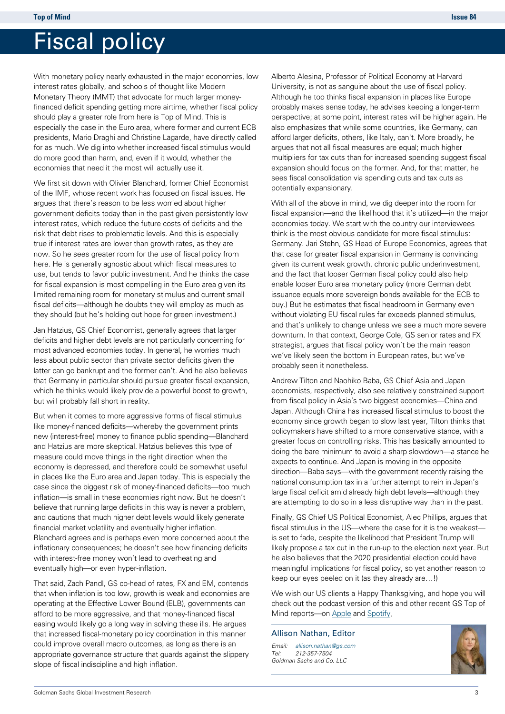With monetary policy nearly exhausted in the major economies, low interest rates globally, and schools of thought like Modern Monetary Theory (MMT) that advocate for much larger moneyfinanced deficit spending getting more airtime, whether fiscal policy should play a greater role from here is Top of Mind. This is especially the case in the Euro area, where former and current ECB presidents, Mario Draghi and Christine Lagarde, have directly called for as much. We dig into whether increased fiscal stimulus would do more good than harm, and, even if it would, whether the economies that need it the most will actually use it.

We first sit down with Olivier Blanchard, former Chief Economist of the IMF, whose recent work has focused on fiscal issues. He argues that there's reason to be less worried about higher government deficits today than in the past given persistently low interest rates, which reduce the future costs of deficits and the risk that debt rises to problematic levels. And this is especially true if interest rates are lower than growth rates, as they are now. So he sees greater room for the use of fiscal policy from here. He is generally agnostic about which fiscal measures to use, but tends to favor public investment. And he thinks the case for fiscal expansion is most compelling in the Euro area given its limited remaining room for monetary stimulus and current small fiscal deficits—although he doubts they will employ as much as they should (but he's holding out hope for green investment.)

Jan Hatzius, GS Chief Economist, generally agrees that larger deficits and higher debt levels are not particularly concerning for most advanced economies today. In general, he worries much less about public sector than private sector deficits given the latter can go bankrupt and the former can't. And he also believes that Germany in particular should pursue greater fiscal expansion, which he thinks would likely provide a powerful boost to growth, but will probably fall short in reality.

But when it comes to more aggressive forms of fiscal stimulus like money-financed deficits—whereby the government prints new (interest-free) money to finance public spending—Blanchard and Hatzius are more skeptical. Hatzius believes this type of measure could move things in the right direction when the economy is depressed, and therefore could be somewhat useful in places like the Euro area and Japan today. This is especially the case since the biggest risk of money-financed deficits—too much inflation—is small in these economies right now. But he doesn't believe that running large deficits in this way is never a problem, and cautions that much higher debt levels would likely generate financial market volatility and eventually higher inflation. Blanchard agrees and is perhaps even more concerned about the inflationary consequences; he doesn't see how financing deficits with interest-free money won't lead to overheating and eventually high—or even hyper-inflation.

That said, Zach Pandl, GS co-head of rates, FX and EM, contends that when inflation is too low, growth is weak and economies are operating at the Effective Lower Bound (ELB), governments can afford to be more aggressive, and that money-financed fiscal easing would likely go a long way in solving these ills. He argues that increased fiscal-monetary policy coordination in this manner could improve overall macro outcomes, as long as there is an appropriate governance structure that guards against the slippery slope of fiscal indiscipline and high inflation.

Alberto Alesina, Professor of Political Economy at Harvard University, is not as sanguine about the use of fiscal policy. Although he too thinks fiscal expansion in places like Europe probably makes sense today, he advises keeping a longer-term perspective; at some point, interest rates will be higher again. He also emphasizes that while some countries, like Germany, can afford larger deficits, others, like Italy, can't. More broadly, he argues that not all fiscal measures are equal; much higher multipliers for tax cuts than for increased spending suggest fiscal expansion should focus on the former. And, for that matter, he sees fiscal consolidation via spending cuts and tax cuts as potentially expansionary.

With all of the above in mind, we dig deeper into the room for fiscal expansion—and the likelihood that it's utilized—in the major economies today. We start with the country our interviewees think is the most obvious candidate for more fiscal stimulus: Germany. Jari Stehn, GS Head of Europe Economics, agrees that that case for greater fiscal expansion in Germany is convincing given its current weak growth, chronic public underinvestment, and the fact that looser German fiscal policy could also help enable looser Euro area monetary policy (more German debt issuance equals more sovereign bonds available for the ECB to buy.) But he estimates that fiscal headroom in Germany even without violating EU fiscal rules far exceeds planned stimulus, and that's unlikely to change unless we see a much more severe downturn. In that context, George Cole, GS senior rates and FX strategist, argues that fiscal policy won't be the main reason we've likely seen the bottom in European rates, but we've probably seen it nonetheless.

Andrew Tilton and Naohiko Baba, GS Chief Asia and Japan economists, respectively, also see relatively constrained support from fiscal policy in Asia's two biggest economies—China and Japan. Although China has increased fiscal stimulus to boost the economy since growth began to slow last year, Tilton thinks that policymakers have shifted to a more conservative stance, with a greater focus on controlling risks. This has basically amounted to doing the bare minimum to avoid a sharp slowdown—a stance he expects to continue. And Japan is moving in the opposite direction—Baba says—with the government recently raising the national consumption tax in a further attempt to rein in Japan's large fiscal deficit amid already high debt levels—although they are attempting to do so in a less disruptive way than in the past.

Finally, GS Chief US Political Economist, Alec Phillips, argues that fiscal stimulus in the US—where the case for it is the weakest is set to fade, despite the likelihood that President Trump will likely propose a tax cut in the run-up to the election next year. But he also believes that the 2020 presidential election could have meaningful implications for fiscal policy, so yet another reason to keep our eyes peeled on it (as they already are…!)

We wish our US clients a Happy Thanksgiving, and hope you will check out the podcast version of this and other recent GS Top of Mind reports—o[n Apple](https://podcasts.apple.com/us/podcast/top-of-mind-at-goldman-sachs/id1461884827) and [Spotify.](https://open.spotify.com/show/4PnFsF7pSNzzN1oGmknJ81)

#### Allison Nathan, Editor

*Email: [allison.nathan@gs.com](mailto:allison.nathan@gs.com)  Tel: 212-357-7504 Goldman Sachs and Co. LLC* 

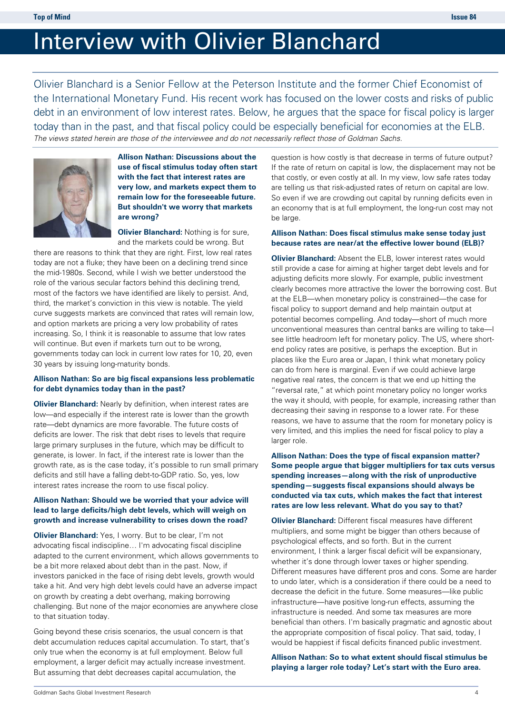# Interview with Olivier Blanchard

Olivier Blanchard is a Senior Fellow at the Peterson Institute and the former Chief Economist of the International Monetary Fund. His recent work has focused on the lower costs and risks of public debt in an environment of low interest rates. Below, he argues that the space for fiscal policy is larger today than in the past, and that fiscal policy could be especially beneficial for economies at the ELB. *The views stated herein are those of the interviewee and do not necessarily reflect those of Goldman Sachs.*



**Allison Nathan: Discussions about the use of fiscal stimulus today often start with the fact that interest rates are very low, and markets expect them to remain low for the foreseeable future. But shouldn't we worry that markets are wrong?**

**Olivier Blanchard:** Nothing is for sure, and the markets could be wrong. But

there are reasons to think that they are right. First, low real rates today are not a fluke; they have been on a declining trend since the mid-1980s. Second, while I wish we better understood the role of the various secular factors behind this declining trend, most of the factors we have identified are likely to persist. And, third, the market's conviction in this view is notable. The yield curve suggests markets are convinced that rates will remain low, and option markets are pricing a very low probability of rates increasing. So, I think it is reasonable to assume that low rates will continue. But even if markets turn out to be wrong, governments today can lock in current low rates for 10, 20, even 30 years by issuing long-maturity bonds.

#### **Allison Nathan: So are big fiscal expansions less problematic for debt dynamics today than in the past?**

**Olivier Blanchard:** Nearly by definition, when interest rates are low—and especially if the interest rate is lower than the growth rate—debt dynamics are more favorable. The future costs of deficits are lower. The risk that debt rises to levels that require large primary surpluses in the future, which may be difficult to generate, is lower. In fact, if the interest rate is lower than the growth rate, as is the case today, it's possible to run small primary deficits and still have a falling debt-to-GDP ratio. So, yes, low interest rates increase the room to use fiscal policy.

#### **Allison Nathan: Should we be worried that your advice will lead to large deficits/high debt levels, which will weigh on growth and increase vulnerability to crises down the road?**

**Olivier Blanchard:** Yes, I worry. But to be clear, I'm not advocating fiscal indiscipline… I'm advocating fiscal discipline adapted to the current environment, which allows governments to be a bit more relaxed about debt than in the past. Now, if investors panicked in the face of rising debt levels, growth would take a hit. And very high debt levels could have an adverse impact on growth by creating a debt overhang, making borrowing challenging. But none of the major economies are anywhere close to that situation today.

Going beyond these crisis scenarios, the usual concern is that debt accumulation reduces capital accumulation. To start, that's only true when the economy is at full employment. Below full employment, a larger deficit may actually increase investment. But assuming that debt decreases capital accumulation, the

question is how costly is that decrease in terms of future output? If the rate of return on capital is low, the displacement may not be that costly, or even costly at all. In my view, low safe rates today are telling us that risk-adjusted rates of return on capital are low. So even if we are crowding out capital by running deficits even in an economy that is at full employment, the long-run cost may not be large.

#### **Allison Nathan: Does fiscal stimulus make sense today just because rates are near/at the effective lower bound (ELB)?**

**Olivier Blanchard:** Absent the ELB, lower interest rates would still provide a case for aiming at higher target debt levels and for adjusting deficits more slowly. For example, public investment clearly becomes more attractive the lower the borrowing cost. But at the ELB—when monetary policy is constrained—the case for fiscal policy to support demand and help maintain output at potential becomes compelling. And today—short of much more unconventional measures than central banks are willing to take—I see little headroom left for monetary policy. The US, where shortend policy rates are positive, is perhaps the exception. But in places like the Euro area or Japan, I think what monetary policy can do from here is marginal. Even if we could achieve large negative real rates, the concern is that we end up hitting the "reversal rate," at which point monetary policy no longer works the way it should, with people, for example, increasing rather than decreasing their saving in response to a lower rate. For these reasons, we have to assume that the room for monetary policy is very limited, and this implies the need for fiscal policy to play a larger role.

**Allison Nathan: Does the type of fiscal expansion matter? Some people argue that bigger multipliers for tax cuts versus spending increases—along with the risk of unproductive spending—suggests fiscal expansions should always be conducted via tax cuts, which makes the fact that interest rates are low less relevant. What do you say to that?**

**Olivier Blanchard:** Different fiscal measures have different multipliers, and some might be bigger than others because of psychological effects, and so forth. But in the current environment, I think a larger fiscal deficit will be expansionary, whether it's done through lower taxes or higher spending. Different measures have different pros and cons. Some are harder to undo later, which is a consideration if there could be a need to decrease the deficit in the future. Some measures—like public infrastructure—have positive long-run effects, assuming the infrastructure is needed. And some tax measures are more beneficial than others. I'm basically pragmatic and agnostic about the appropriate composition of fiscal policy. That said, today, I would be happiest if fiscal deficits financed public investment.

**Allison Nathan: So to what extent should fiscal stimulus be playing a larger role today? Let's start with the Euro area.**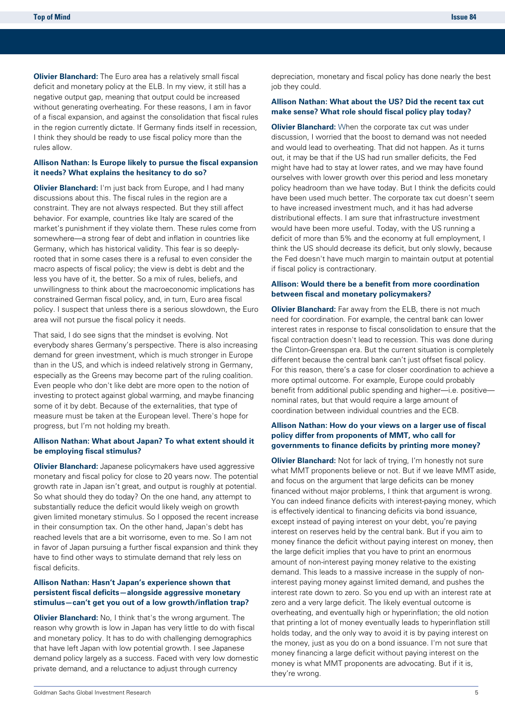**Olivier Blanchard:** The Euro area has a relatively small fiscal deficit and monetary policy at the ELB. In my view, it still has a negative output gap, meaning that output could be increased without generating overheating. For these reasons, I am in favor of a fiscal expansion, and against the consolidation that fiscal rules in the region currently dictate. If Germany finds itself in recession, I think they should be ready to use fiscal policy more than the rules allow.

#### **Allison Nathan: Is Europe likely to pursue the fiscal expansion it needs? What explains the hesitancy to do so?**

**Olivier Blanchard:** I'm just back from Europe, and I had many discussions about this. The fiscal rules in the region are a constraint. They are not always respected. But they still affect behavior. For example, countries like Italy are scared of the market's punishment if they violate them. These rules come from somewhere—a strong fear of debt and inflation in countries like Germany, which has historical validity. This fear is so deeplyrooted that in some cases there is a refusal to even consider the macro aspects of fiscal policy; the view is debt is debt and the less you have of it, the better. So a mix of rules, beliefs, and unwillingness to think about the macroeconomic implications has constrained German fiscal policy, and, in turn, Euro area fiscal policy. I suspect that unless there is a serious slowdown, the Euro area will not pursue the fiscal policy it needs.

That said, I do see signs that the mindset is evolving. Not everybody shares Germany's perspective. There is also increasing demand for green investment, which is much stronger in Europe than in the US, and which is indeed relatively strong in Germany, especially as the Greens may become part of the ruling coalition. Even people who don't like debt are more open to the notion of investing to protect against global warming, and maybe financing some of it by debt. Because of the externalities, that type of measure must be taken at the European level. There's hope for progress, but I'm not holding my breath.

#### **Allison Nathan: What about Japan? To what extent should it be employing fiscal stimulus?**

**Olivier Blanchard:** Japanese policymakers have used aggressive monetary and fiscal policy for close to 20 years now. The potential growth rate in Japan isn't great, and output is roughly at potential. So what should they do today? On the one hand, any attempt to substantially reduce the deficit would likely weigh on growth given limited monetary stimulus. So I opposed the recent increase in their consumption tax. On the other hand, Japan's debt has reached levels that are a bit worrisome, even to me. So I am not in favor of Japan pursuing a further fiscal expansion and think they have to find other ways to stimulate demand that rely less on fiscal deficits.

#### **Allison Nathan: Hasn't Japan's experience shown that persistent fiscal deficits—alongside aggressive monetary stimulus—can't get you out of a low growth/inflation trap?**

**Olivier Blanchard:** No, I think that's the wrong argument. The reason why growth is low in Japan has very little to do with fiscal and monetary policy. It has to do with challenging demographics that have left Japan with low potential growth. I see Japanese demand policy largely as a success. Faced with very low domestic private demand, and a reluctance to adjust through currency

depreciation, monetary and fiscal policy has done nearly the best job they could.

#### **Allison Nathan: What about the US? Did the recent tax cut make sense? What role should fiscal policy play today?**

**Olivier Blanchard:** When the corporate tax cut was under discussion, I worried that the boost to demand was not needed and would lead to overheating. That did not happen. As it turns out, it may be that if the US had run smaller deficits, the Fed might have had to stay at lower rates, and we may have found ourselves with lower growth over this period and less monetary policy headroom than we have today. But I think the deficits could have been used much better. The corporate tax cut doesn't seem to have increased investment much, and it has had adverse distributional effects. I am sure that infrastructure investment would have been more useful. Today, with the US running a deficit of more than 5% and the economy at full employment, I think the US should decrease its deficit, but only slowly, because the Fed doesn't have much margin to maintain output at potential if fiscal policy is contractionary.

#### **Allison: Would there be a benefit from more coordination between fiscal and monetary policymakers?**

**Olivier Blanchard:** Far away from the ELB, there is not much need for coordination. For example, the central bank can lower interest rates in response to fiscal consolidation to ensure that the fiscal contraction doesn't lead to recession. This was done during the Clinton-Greenspan era. But the current situation is completely different because the central bank can't just offset fiscal policy. For this reason, there's a case for closer coordination to achieve a more optimal outcome. For example, Europe could probably benefit from additional public spending and higher—i.e. positive nominal rates, but that would require a large amount of coordination between individual countries and the ECB.

#### **Allison Nathan: How do your views on a larger use of fiscal policy differ from proponents of MMT, who call for governments to finance deficits by printing more money?**

**Olivier Blanchard:** Not for lack of trying, I'm honestly not sure what MMT proponents believe or not. But if we leave MMT aside, and focus on the argument that large deficits can be money financed without major problems, I think that argument is wrong. You can indeed finance deficits with interest-paying money, which is effectively identical to financing deficits via bond issuance, except instead of paying interest on your debt, you're paying interest on reserves held by the central bank. But if you aim to money finance the deficit without paying interest on money, then the large deficit implies that you have to print an enormous amount of non-interest paying money relative to the existing demand. This leads to a massive increase in the supply of noninterest paying money against limited demand, and pushes the interest rate down to zero. So you end up with an interest rate at zero and a very large deficit. The likely eventual outcome is overheating, and eventually high or hyperinflation; the old notion that printing a lot of money eventually leads to hyperinflation still holds today, and the only way to avoid it is by paying interest on the money, just as you do on a bond issuance. I'm not sure that money financing a large deficit without paying interest on the money is what MMT proponents are advocating. But if it is, they're wrong.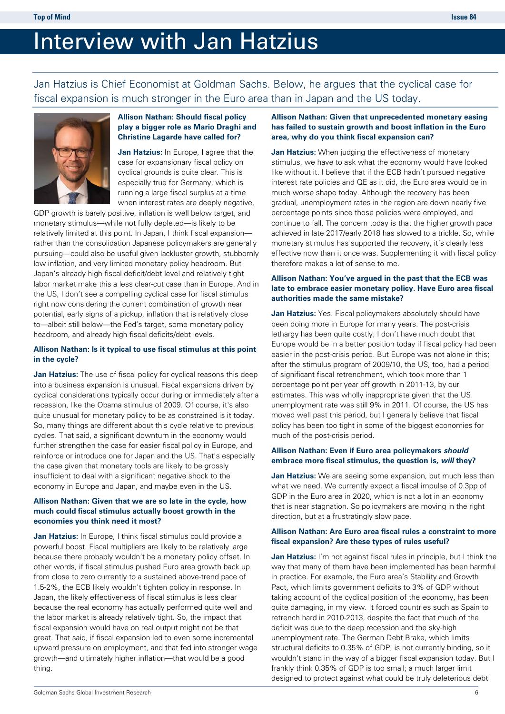Jan Hatzius is Chief Economist at Goldman Sachs. Below, he argues that the cyclical case for fiscal expansion is much stronger in the Euro area than in Japan and the US today.



#### **Allison Nathan: Should fiscal policy play a bigger role as Mario Draghi and Christine Lagarde have called for?**

**Jan Hatzius:** In Europe, I agree that the case for expansionary fiscal policy on cyclical grounds is quite clear. This is especially true for Germany, which is running a large fiscal surplus at a time when interest rates are deeply negative,

GDP growth is barely positive, inflation is well below target, and monetary stimulus—while not fully depleted—is likely to be relatively limited at this point. In Japan, I think fiscal expansion rather than the consolidation Japanese policymakers are generally pursuing—could also be useful given lackluster growth, stubbornly low inflation, and very limited monetary policy headroom. But Japan's already high fiscal deficit/debt level and relatively tight labor market make this a less clear-cut case than in Europe. And in the US, I don't see a compelling cyclical case for fiscal stimulus right now considering the current combination of growth near potential, early signs of a pickup, inflation that is relatively close to—albeit still below—the Fed's target, some monetary policy headroom, and already high fiscal deficits/debt levels.

#### **Allison Nathan: Is it typical to use fiscal stimulus at this point in the cycle?**

**Jan Hatzius:** The use of fiscal policy for cyclical reasons this deep into a business expansion is unusual. Fiscal expansions driven by cyclical considerations typically occur during or immediately after a recession, like the Obama stimulus of 2009. Of course, it's also quite unusual for monetary policy to be as constrained is it today. So, many things are different about this cycle relative to previous cycles. That said, a significant downturn in the economy would further strengthen the case for easier fiscal policy in Europe, and reinforce or introduce one for Japan and the US. That's especially the case given that monetary tools are likely to be grossly insufficient to deal with a significant negative shock to the economy in Europe and Japan, and maybe even in the US.

#### **Allison Nathan: Given that we are so late in the cycle, how much could fiscal stimulus actually boost growth in the economies you think need it most?**

Jan Hatzius: In Europe, I think fiscal stimulus could provide a powerful boost. Fiscal multipliers are likely to be relatively large because there probably wouldn't be a monetary policy offset. In other words, if fiscal stimulus pushed Euro area growth back up from close to zero currently to a sustained above-trend pace of 1.5-2%, the ECB likely wouldn't tighten policy in response. In Japan, the likely effectiveness of fiscal stimulus is less clear because the real economy has actually performed quite well and the labor market is already relatively tight. So, the impact that fiscal expansion would have on real output might not be that great. That said, if fiscal expansion led to even some incremental upward pressure on employment, and that fed into stronger wage growth—and ultimately higher inflation—that would be a good thing.

#### **Allison Nathan: Given that unprecedented monetary easing has failed to sustain growth and boost inflation in the Euro area, why do you think fiscal expansion can?**

**Jan Hatzius:** When judging the effectiveness of monetary stimulus, we have to ask what the economy would have looked like without it. I believe that if the ECB hadn't pursued negative interest rate policies and QE as it did, the Euro area would be in much worse shape today. Although the recovery has been gradual, unemployment rates in the region are down nearly five percentage points since those policies were employed, and continue to fall. The concern today is that the higher growth pace achieved in late 2017/early 2018 has slowed to a trickle. So, while monetary stimulus has supported the recovery, it's clearly less effective now than it once was. Supplementing it with fiscal policy therefore makes a lot of sense to me.

#### **Allison Nathan: You've argued in the past that the ECB was late to embrace easier monetary policy. Have Euro area fiscal authorities made the same mistake?**

**Jan Hatzius:** Yes. Fiscal policymakers absolutely should have been doing more in Europe for many years. The post-crisis lethargy has been quite costly; I don't have much doubt that Europe would be in a better position today if fiscal policy had been easier in the post-crisis period. But Europe was not alone in this; after the stimulus program of 2009/10, the US, too, had a period of significant fiscal retrenchment, which took more than 1 percentage point per year off growth in 2011-13, by our estimates. This was wholly inappropriate given that the US unemployment rate was still 9% in 2011. Of course, the US has moved well past this period, but I generally believe that fiscal policy has been too tight in some of the biggest economies for much of the post-crisis period.

#### **Allison Nathan: Even if Euro area policymakers** *should* **embrace more fiscal stimulus, the question is,** *will* **they?**

**Jan Hatzius:** We are seeing some expansion, but much less than what we need. We currently expect a fiscal impulse of 0.3pp of GDP in the Euro area in 2020, which is not a lot in an economy that is near stagnation. So policymakers are moving in the right direction, but at a frustratingly slow pace.

#### **Allison Nathan: Are Euro area fiscal rules a constraint to more fiscal expansion? Are these types of rules useful?**

**Jan Hatzius:** I'm not against fiscal rules in principle, but I think the way that many of them have been implemented has been harmful in practice. For example, the Euro area's Stability and Growth Pact, which limits government deficits to 3% of GDP without taking account of the cyclical position of the economy, has been quite damaging, in my view. It forced countries such as Spain to retrench hard in 2010-2013, despite the fact that much of the deficit was due to the deep recession and the sky-high unemployment rate. The German Debt Brake, which limits structural deficits to 0.35% of GDP, is not currently binding, so it wouldn't stand in the way of a bigger fiscal expansion today. But I frankly think 0.35% of GDP is too small; a much larger limit designed to protect against what could be truly deleterious debt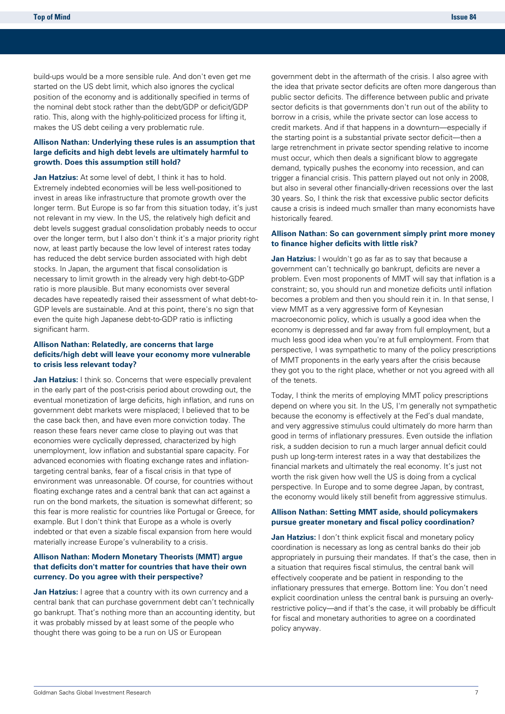build-ups would be a more sensible rule. And don't even get me started on the US debt limit, which also ignores the cyclical position of the economy and is additionally specified in terms of the nominal debt stock rather than the debt/GDP or deficit/GDP ratio. This, along with the highly-politicized process for lifting it, makes the US debt ceiling a very problematic rule.

#### **Allison Nathan: Underlying these rules is an assumption that large deficits and high debt levels are ultimately harmful to growth. Does this assumption still hold?**

**Jan Hatzius:** At some level of debt, I think it has to hold. Extremely indebted economies will be less well-positioned to invest in areas like infrastructure that promote growth over the longer term. But Europe is so far from this situation today, it's just not relevant in my view. In the US, the relatively high deficit and debt levels suggest gradual consolidation probably needs to occur over the longer term, but I also don't think it's a major priority right now, at least partly because the low level of interest rates today has reduced the debt service burden associated with high debt stocks. In Japan, the argument that fiscal consolidation is necessary to limit growth in the already very high debt-to-GDP ratio is more plausible. But many economists over several decades have repeatedly raised their assessment of what debt-to-GDP levels are sustainable. And at this point, there's no sign that even the quite high Japanese debt-to-GDP ratio is inflicting significant harm.

#### **Allison Nathan: Relatedly, are concerns that large deficits/high debt will leave your economy more vulnerable to crisis less relevant today?**

**Jan Hatzius:** I think so. Concerns that were especially prevalent in the early part of the post-crisis period about crowding out, the eventual monetization of large deficits, high inflation, and runs on government debt markets were misplaced; I believed that to be the case back then, and have even more conviction today. The reason these fears never came close to playing out was that economies were cyclically depressed, characterized by high unemployment, low inflation and substantial spare capacity. For advanced economies with floating exchange rates and inflationtargeting central banks, fear of a fiscal crisis in that type of environment was unreasonable. Of course, for countries without floating exchange rates and a central bank that can act against a run on the bond markets, the situation is somewhat different; so this fear is more realistic for countries like Portugal or Greece, for example. But I don't think that Europe as a whole is overly indebted or that even a sizable fiscal expansion from here would materially increase Europe's vulnerability to a crisis.

#### **Allison Nathan: Modern Monetary Theorists (MMT) argue that deficits don't matter for countries that have their own currency. Do you agree with their perspective?**

**Jan Hatzius:** I agree that a country with its own currency and a central bank that can purchase government debt can't technically go bankrupt. That's nothing more than an accounting identity, but it was probably missed by at least some of the people who thought there was going to be a run on US or European

government debt in the aftermath of the crisis. I also agree with the idea that private sector deficits are often more dangerous than public sector deficits. The difference between public and private sector deficits is that governments don't run out of the ability to borrow in a crisis, while the private sector can lose access to credit markets. And if that happens in a downturn—especially if the starting point is a substantial private sector deficit—then a large retrenchment in private sector spending relative to income must occur, which then deals a significant blow to aggregate demand, typically pushes the economy into recession, and can trigger a financial crisis. This pattern played out not only in 2008, but also in several other financially-driven recessions over the last 30 years. So, I think the risk that excessive public sector deficits cause a crisis is indeed much smaller than many economists have historically feared.

#### **Allison Nathan: So can government simply print more money to finance higher deficits with little risk?**

**Jan Hatzius:** I wouldn't go as far as to say that because a government can't technically go bankrupt, deficits are never a problem. Even most proponents of MMT will say that inflation is a constraint; so, you should run and monetize deficits until inflation becomes a problem and then you should rein it in. In that sense, I view MMT as a very aggressive form of Keynesian macroeconomic policy, which is usually a good idea when the economy is depressed and far away from full employment, but a much less good idea when you're at full employment. From that perspective, I was sympathetic to many of the policy prescriptions of MMT proponents in the early years after the crisis because they got you to the right place, whether or not you agreed with all of the tenets.

Today, I think the merits of employing MMT policy prescriptions depend on where you sit. In the US, I'm generally not sympathetic because the economy is effectively at the Fed's dual mandate, and very aggressive stimulus could ultimately do more harm than good in terms of inflationary pressures. Even outside the inflation risk, a sudden decision to run a much larger annual deficit could push up long-term interest rates in a way that destabilizes the financial markets and ultimately the real economy. It's just not worth the risk given how well the US is doing from a cyclical perspective. In Europe and to some degree Japan, by contrast, the economy would likely still benefit from aggressive stimulus.

#### **Allison Nathan: Setting MMT aside, should policymakers pursue greater monetary and fiscal policy coordination?**

**Jan Hatzius:** I don't think explicit fiscal and monetary policy coordination is necessary as long as central banks do their job appropriately in pursuing their mandates. If that's the case, then in a situation that requires fiscal stimulus, the central bank will effectively cooperate and be patient in responding to the inflationary pressures that emerge. Bottom line: You don't need explicit coordination unless the central bank is pursuing an overlyrestrictive policy—and if that's the case, it will probably be difficult for fiscal and monetary authorities to agree on a coordinated policy anyway.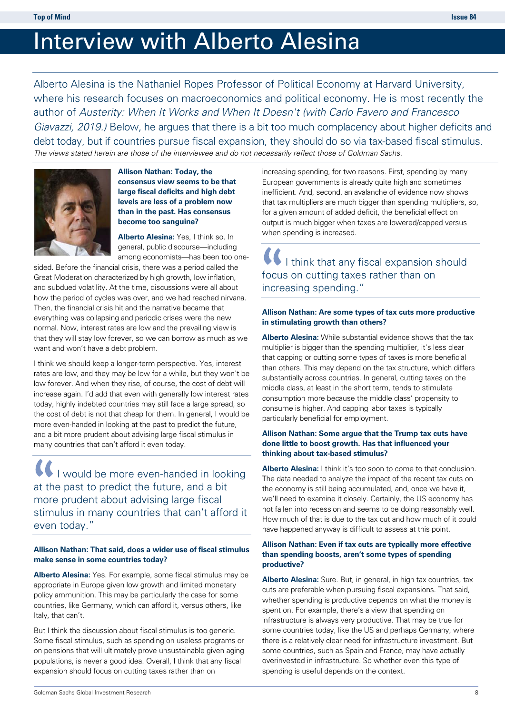Alberto Alesina is the Nathaniel Ropes Professor of Political Economy at Harvard University, where his research focuses on macroeconomics and political economy. He is most recently the author of *Austerity: When It Works and When It Doesn't (with Carlo Favero and Francesco Giavazzi, 2019.)* Below, he argues that there is a bit too much complacency about higher deficits and debt today, but if countries pursue fiscal expansion, they should do so via tax-based fiscal stimulus. *The views stated herein are those of the interviewee and do not necessarily reflect those of Goldman Sachs.*



**Allison Nathan: Today, the consensus view seems to be that large fiscal deficits and high debt levels are less of a problem now than in the past. Has consensus become too sanguine?** 

**Alberto Alesina:** Yes, I think so. In general, public discourse—including among economists—has been too one-

sided. Before the financial crisis, there was a period called the Great Moderation characterized by high growth, low inflation, and subdued volatility. At the time, discussions were all about how the period of cycles was over, and we had reached nirvana. Then, the financial crisis hit and the narrative became that everything was collapsing and periodic crises were the new normal. Now, interest rates are low and the prevailing view is that they will stay low forever, so we can borrow as much as we want and won't have a debt problem.

I think we should keep a longer-term perspective. Yes, interest rates are low, and they may be low for a while, but they won't be low forever. And when they rise, of course, the cost of debt will increase again. I'd add that even with generally low interest rates today, highly indebted countries may still face a large spread, so the cost of debt is not that cheap for them. In general, I would be more even-handed in looking at the past to predict the future, and a bit more prudent about advising large fiscal stimulus in many countries that can't afford it even today.

I would be more even-handed in looking at the past to predict the future, and a bit more prudent about advising large fiscal stimulus in many countries that can't afford it even today."

#### **Allison Nathan: That said, does a wider use of fiscal stimulus make sense in some countries today?**

**Alberto Alesina:** Yes. For example, some fiscal stimulus may be appropriate in Europe given low growth and limited monetary policy ammunition. This may be particularly the case for some countries, like Germany, which can afford it, versus others, like Italy, that can't.

But I think the discussion about fiscal stimulus is too generic. Some fiscal stimulus, such as spending on useless programs or on pensions that will ultimately prove unsustainable given aging populations, is never a good idea. Overall, I think that any fiscal expansion should focus on cutting taxes rather than on

increasing spending, for two reasons. First, spending by many European governments is already quite high and sometimes inefficient. And, second, an avalanche of evidence now shows that tax multipliers are much bigger than spending multipliers, so, for a given amount of added deficit, the beneficial effect on output is much bigger when taxes are lowered/capped versus when spending is increased.

I think that any fiscal expansion should focus on cutting taxes rather than on increasing spending."

#### **Allison Nathan: Are some types of tax cuts more productive in stimulating growth than others?**

**Alberto Alesina:** While substantial evidence shows that the tax multiplier is bigger than the spending multiplier, it's less clear that capping or cutting some types of taxes is more beneficial than others. This may depend on the tax structure, which differs substantially across countries. In general, cutting taxes on the middle class, at least in the short term, tends to stimulate consumption more because the middle class' propensity to consume is higher. And capping labor taxes is typically particularly beneficial for employment.

#### **Allison Nathan: Some argue that the Trump tax cuts have done little to boost growth. Has that influenced your thinking about tax-based stimulus?**

**Alberto Alesina:** I think it's too soon to come to that conclusion. The data needed to analyze the impact of the recent tax cuts on the economy is still being accumulated, and, once we have it, we'll need to examine it closely. Certainly, the US economy has not fallen into recession and seems to be doing reasonably well. How much of that is due to the tax cut and how much of it could have happened anyway is difficult to assess at this point.

#### **Allison Nathan: Even if tax cuts are typically more effective than spending boosts, aren't some types of spending productive?**

**Alberto Alesina:** Sure. But, in general, in high tax countries, tax cuts are preferable when pursuing fiscal expansions. That said, whether spending is productive depends on what the money is spent on. For example, there's a view that spending on infrastructure is always very productive. That may be true for some countries today, like the US and perhaps Germany, where there is a relatively clear need for infrastructure investment. But some countries, such as Spain and France, may have actually overinvested in infrastructure. So whether even this type of spending is useful depends on the context.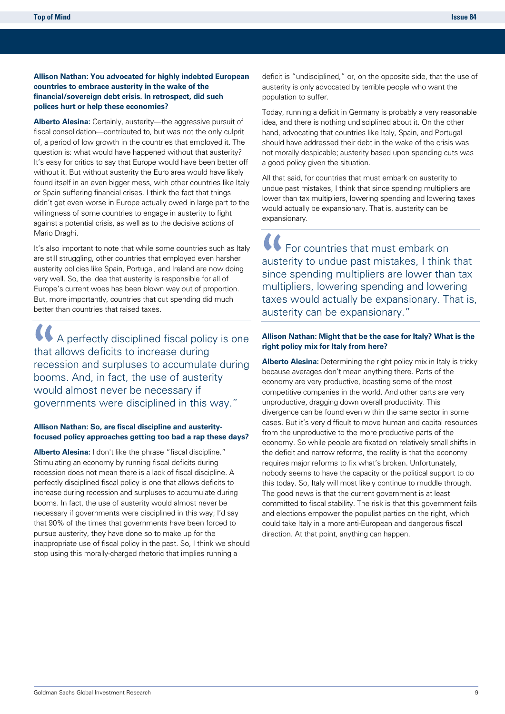**Alberto Alesina:** Certainly, austerity—the aggressive pursuit of fiscal consolidation—contributed to, but was not the only culprit of, a period of low growth in the countries that employed it. The question is: what would have happened without that austerity? It's easy for critics to say that Europe would have been better off without it. But without austerity the Euro area would have likely found itself in an even bigger mess, with other countries like Italy or Spain suffering financial crises. I think the fact that things didn't get even worse in Europe actually owed in large part to the willingness of some countries to engage in austerity to fight against a potential crisis, as well as to the decisive actions of Mario Draghi.

It's also important to note that while some countries such as Italy are still struggling, other countries that employed even harsher austerity policies like Spain, Portugal, and Ireland are now doing very well. So, the idea that austerity is responsible for all of Europe's current woes has been blown way out of proportion. But, more importantly, countries that cut spending did much better than countries that raised taxes.

A perfectly disciplined fiscal policy is one that allows deficits to increase during recession and surpluses to accumulate during booms. And, in fact, the use of austerity would almost never be necessary if governments were disciplined in this way."

#### **Allison Nathan: So, are fiscal discipline and austerityfocused policy approaches getting too bad a rap these days?**

**Alberto Alesina:** I don't like the phrase "fiscal discipline." Stimulating an economy by running fiscal deficits during recession does not mean there is a lack of fiscal discipline. A perfectly disciplined fiscal policy is one that allows deficits to increase during recession and surpluses to accumulate during booms. In fact, the use of austerity would almost never be necessary if governments were disciplined in this way; I'd say that 90% of the times that governments have been forced to pursue austerity, they have done so to make up for the inappropriate use of fiscal policy in the past. So, I think we should stop using this morally-charged rhetoric that implies running a

deficit is "undisciplined," or, on the opposite side, that the use of austerity is only advocated by terrible people who want the population to suffer.

Today, running a deficit in Germany is probably a very reasonable idea, and there is nothing undisciplined about it. On the other hand, advocating that countries like Italy, Spain, and Portugal should have addressed their debt in the wake of the crisis was not morally despicable; austerity based upon spending cuts was a good policy given the situation.

All that said, for countries that must embark on austerity to undue past mistakes, I think that since spending multipliers are lower than tax multipliers, lowering spending and lowering taxes would actually be expansionary. That is, austerity can be expansionary.

For countries that must embark on austerity to undue past mistakes, I think that since spending multipliers are lower than tax multipliers, lowering spending and lowering taxes would actually be expansionary. That is, austerity can be expansionary."

#### **Allison Nathan: Might that be the case for Italy? What is the right policy mix for Italy from here?**

**Alberto Alesina:** Determining the right policy mix in Italy is tricky because averages don't mean anything there. Parts of the economy are very productive, boasting some of the most competitive companies in the world. And other parts are very unproductive, dragging down overall productivity. This divergence can be found even within the same sector in some cases. But it's very difficult to move human and capital resources from the unproductive to the more productive parts of the economy. So while people are fixated on relatively small shifts in the deficit and narrow reforms, the reality is that the economy requires major reforms to fix what's broken. Unfortunately, nobody seems to have the capacity or the political support to do this today. So, Italy will most likely continue to muddle through. The good news is that the current government is at least committed to fiscal stability. The risk is that this government fails and elections empower the populist parties on the right, which could take Italy in a more anti-European and dangerous fiscal direction. At that point, anything can happen.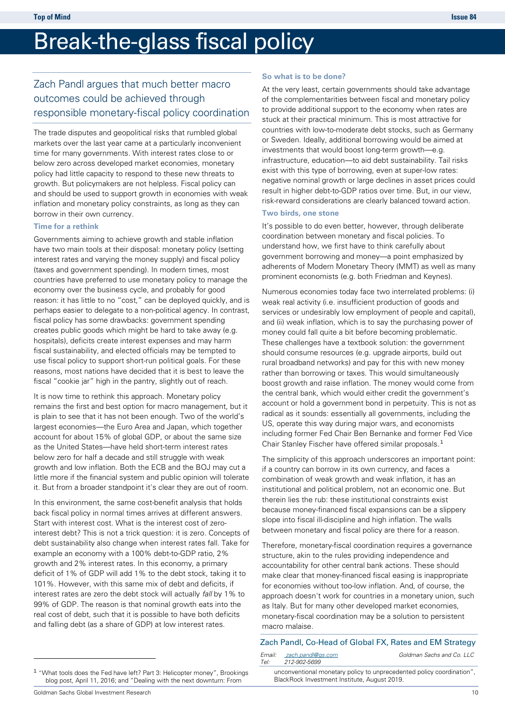# Break-the-glass fiscal policy

## Zach Pandl argues that much better macro outcomes could be achieved through responsible monetary-fiscal policy coordination

The trade disputes and geopolitical risks that rumbled global markets over the last year came at a particularly inconvenient time for many governments. With interest rates close to or below zero across developed market economies, monetary policy had little capacity to respond to these new threats to growth. But policymakers are not helpless. Fiscal policy can and should be used to support growth in economies with weak inflation and monetary policy constraints, as long as they can borrow in their own currency.

#### **Time for a rethink**

Governments aiming to achieve growth and stable inflation have two main tools at their disposal: monetary policy (setting interest rates and varying the money supply) and fiscal policy (taxes and government spending). In modern times, most countries have preferred to use monetary policy to manage the economy over the business cycle, and probably for good reason: it has little to no "cost," can be deployed quickly, and is perhaps easier to delegate to a non-political agency. In contrast, fiscal policy has some drawbacks: government spending creates public goods which might be hard to take away (e.g. hospitals), deficits create interest expenses and may harm fiscal sustainability, and elected officials may be tempted to use fiscal policy to support short-run political goals. For these reasons, most nations have decided that it is best to leave the fiscal "cookie jar" high in the pantry, slightly out of reach.

It is now time to rethink this approach. Monetary policy remains the first and best option for macro management, but it is plain to see that it has not been enough. Two of the world's largest economies—the Euro Area and Japan, which together account for about 15% of global GDP, or about the same size as the United States—have held short-term interest rates below zero for half a decade and still struggle with weak growth and low inflation. Both the ECB and the BOJ may cut a little more if the financial system and public opinion will tolerate it. But from a broader standpoint it's clear they are out of room.

In this environment, the same cost-benefit analysis that holds back fiscal policy in normal times arrives at different answers. Start with interest cost. What is the interest cost of zerointerest debt? This is not a trick question: it is zero. Concepts of debt sustainability also change when interest rates fall. Take for example an economy with a 100% debt-to-GDP ratio, 2% growth and 2% interest rates. In this economy, a primary deficit of 1% of GDP will add 1% to the debt stock, taking it to 101%. However, with this same mix of debt and deficits, if interest rates are zero the debt stock will actually *fall* by 1% to 99% of GDP. The reason is that nominal growth eats into the real cost of debt, such that it is possible to have both deficits and falling debt (as a share of GDP) at low interest rates.

#### **So what is to be done?**

At the very least, certain governments should take advantage of the complementarities between fiscal and monetary policy to provide additional support to the economy when rates are stuck at their practical minimum. This is most attractive for countries with low-to-moderate debt stocks, such as Germany or Sweden. Ideally, additional borrowing would be aimed at investments that would boost long-term growth—e.g. infrastructure, education—to aid debt sustainability. Tail risks exist with this type of borrowing, even at super-low rates: negative nominal growth or large declines in asset prices could result in higher debt-to-GDP ratios over time. But, in our view, risk-reward considerations are clearly balanced toward action.

#### **Two birds, one stone**

It's possible to do even better, however, through deliberate coordination between monetary and fiscal policies. To understand how, we first have to think carefully about government borrowing and money—a point emphasized by adherents of Modern Monetary Theory (MMT) as well as many prominent economists (e.g. both Friedman and Keynes).

Numerous economies today face two interrelated problems: (i) weak real activity (i.e. insufficient production of goods and services or undesirably low employment of people and capital), and (ii) weak inflation, which is to say the purchasing power of money could fall quite a bit before becoming problematic. These challenges have a textbook solution: the government should consume resources (e.g. upgrade airports, build out rural broadband networks) and pay for this with new money rather than borrowing or taxes. This would simultaneously boost growth and raise inflation. The money would come from the central bank, which would either credit the government's account or hold a government bond in perpetuity. This is not as radical as it sounds: essentially all governments, including the US, operate this way during major wars, and economists including former Fed Chair Ben Bernanke and former Fed Vice Chair Stanley Fischer have offered similar proposals.<sup>1</sup>

The simplicity of this approach underscores an important point: if a country can borrow in its own currency, and faces a combination of weak growth and weak inflation, it has an institutional and political problem, not an economic one. But therein lies the rub: these institutional constraints exist because money-financed fiscal expansions can be a slippery slope into fiscal ill-discipline and high inflation. The walls between monetary and fiscal policy are there for a reason.

Therefore, monetary-fiscal coordination requires a governance structure, akin to the rules providing independence and accountability for other central bank actions. These should make clear that money-financed fiscal easing is inappropriate for economies without too-low inflation. And, of course, the approach doesn't work for countries in a monetary union, such as Italy. But for many other developed market economies, monetary-fiscal coordination may be a solution to persistent macro malaise.

#### Zach Pandl, Co-Head of Global FX, Rates and EM Strategy

*Email: [zach.pandl@gs.com](mailto:%20zach.pandl@gs.com) Goldman Sachs and Co. LLC Tel: 212-902-5699*

-

unconventional monetary policy to unprecedented policy coordination",

BlackRock Investment Institute, August 2019.

<sup>1</sup> "What tools does the Fed have left? Part 3: Helicopter money", Brookings blog post, April 11, 2016; and "Dealing with the next downturn: From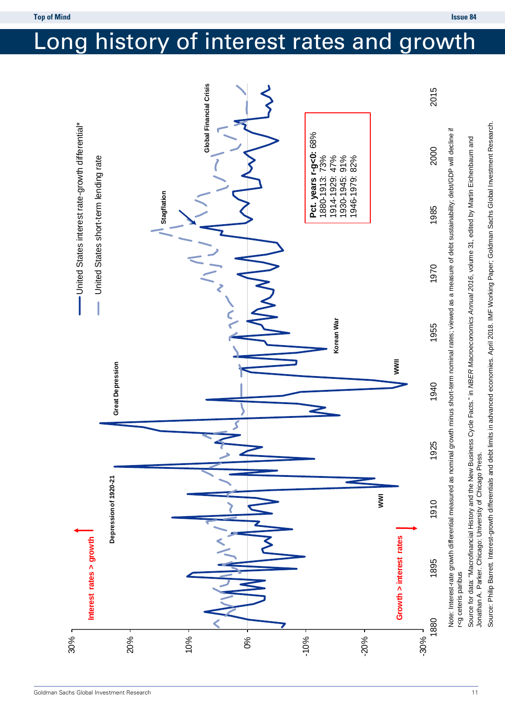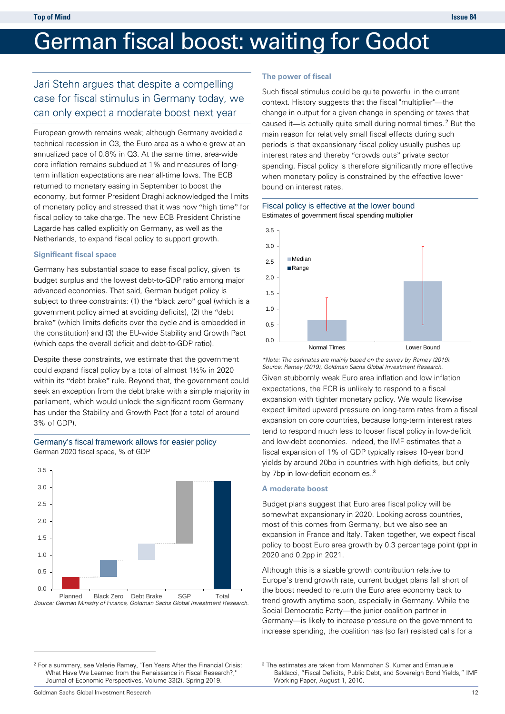# German fiscal boost: waiting for Godot

### Jari Stehn argues that despite a compelling case for fiscal stimulus in Germany today, we can only expect a moderate boost next year

European growth remains weak; although Germany avoided a technical recession in Q3, the Euro area as a whole grew at an annualized pace of 0.8% in Q3. At the same time, area-wide core inflation remains subdued at 1% and measures of longterm inflation expectations are near all-time lows. The ECB returned to monetary easing in September to boost the economy, but former President Draghi acknowledged the limits of monetary policy and stressed that it was now "high time" for fiscal policy to take charge. The new ECB President Christine Lagarde has called explicitly on Germany, as well as the Netherlands, to expand fiscal policy to support growth.

#### **Significant fiscal space**

Germany has substantial space to ease fiscal policy, given its budget surplus and the lowest debt-to-GDP ratio among major advanced economies. That said, German budget policy is subject to three constraints: (1) the "black zero" goal (which is a government policy aimed at avoiding deficits), (2) the "debt brake" (which limits deficits over the cycle and is embedded in the constitution) and (3) the EU-wide Stability and Growth Pact (which caps the overall deficit and debt-to-GDP ratio).

Despite these constraints, we estimate that the government could expand fiscal policy by a total of almost 1½% in 2020 within its "debt brake" rule. Beyond that, the government could seek an exception from the debt brake with a simple majority in parliament, which would unlock the significant room Germany has under the Stability and Growth Pact (for a total of around 3% of GDP).

Germany's fiscal framework allows for easier policy

German 2020 fiscal space, % of GDP

0.0 0.5 1.0 1.5 2.0 2.5 3.0 3.5 Planned Black Zero Debt Brake SGP Total

*Source: German Ministry of Finance, Goldman Sachs Global Investment Research.*

#### **The power of fiscal**

Such fiscal stimulus could be quite powerful in the current context. History suggests that the fiscal "multiplier"—the change in output for a given change in spending or taxes that caused it—is actually quite small during normal times.<sup>2</sup> But the main reason for relatively small fiscal effects during such periods is that expansionary fiscal policy usually pushes up interest rates and thereby "crowds outs" private sector spending. Fiscal policy is therefore significantly more effective when monetary policy is constrained by the effective lower bound on interest rates.





*\*Note: The estimates are mainly based on the survey by Ramey (2019). Source: Ramey (2019), Goldman Sachs Global Investment Research.*

Given stubbornly weak Euro area inflation and low inflation expectations, the ECB is unlikely to respond to a fiscal expansion with tighter monetary policy. We would likewise expect limited upward pressure on long-term rates from a fiscal expansion on core countries, because long-term interest rates tend to respond much less to looser fiscal policy in low-deficit and low-debt economies. Indeed, the IMF estimates that a fiscal expansion of 1% of GDP typically raises 10-year bond yields by around 20bp in countries with high deficits, but only by 7bp in low-deficit economies.<sup>3</sup>

#### **A moderate boost**

Budget plans suggest that Euro area fiscal policy will be somewhat expansionary in 2020. Looking across countries, most of this comes from Germany, but we also see an expansion in France and Italy. Taken together, we expect fiscal policy to boost Euro area growth by 0.3 percentage point (pp) in 2020 and 0.2pp in 2021.

Although this is a sizable growth contribution relative to Europe's trend growth rate, current budget plans fall short of the boost needed to return the Euro area economy back to trend growth anytime soon, especially in Germany. While the Social Democratic Party—the junior coalition partner in Germany—is likely to increase pressure on the government to increase spending, the coalition has (so far) resisted calls for a

-

<sup>2</sup> For a summary, see Valerie Ramey, "Ten Years After the Financial Crisis: What Have We Learned from the Renaissance in Fiscal Research?," Journal of Economic Perspectives, Volume 33(2), Spring 2019.

<sup>&</sup>lt;sup>3</sup> The estimates are taken from Manmohan S. Kumar and Emanuele Baldacci, "Fiscal Deficits, Public Debt, and Sovereign Bond Yields," IMF Working Paper, August 1, 2010.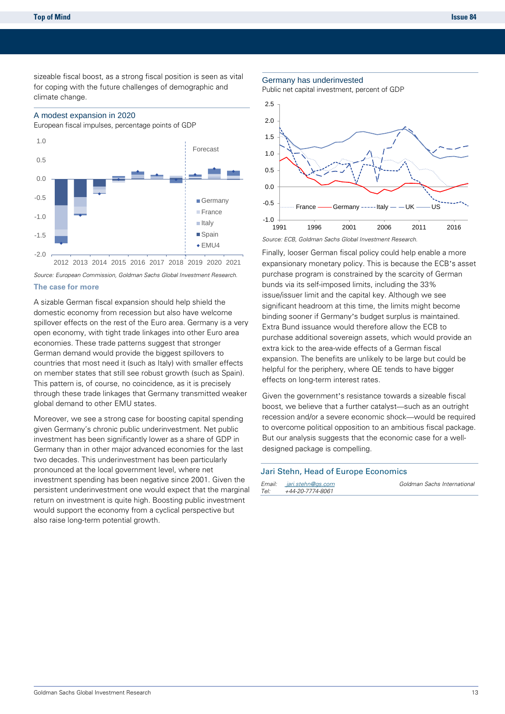A modest expansion in 2020

sizeable fiscal boost, as a strong fiscal position is seen as vital for coping with the future challenges of demographic and climate change.



2012 2013 2014 2015 2016 2017 2018 2019 2020 2021

*Source: European Commission, Goldman Sachs Global Investment Research.*

#### **The case for more**

A sizable German fiscal expansion should help shield the domestic economy from recession but also have welcome spillover effects on the rest of the Euro area. Germany is a very open economy, with tight trade linkages into other Euro area economies. These trade patterns suggest that stronger German demand would provide the biggest spillovers to countries that most need it (such as Italy) with smaller effects on member states that still see robust growth (such as Spain). This pattern is, of course, no coincidence, as it is precisely through these trade linkages that Germany transmitted weaker global demand to other EMU states.

Moreover, we see a strong case for boosting capital spending given Germany's chronic public underinvestment. Net public investment has been significantly lower as a share of GDP in Germany than in other major advanced economies for the last two decades. This underinvestment has been particularly pronounced at the local government level, where net investment spending has been negative since 2001. Given the persistent underinvestment one would expect that the marginal return on investment is quite high. Boosting public investment would support the economy from a cyclical perspective but also raise long-term potential growth.



Finally, looser German fiscal policy could help enable a more expansionary monetary policy. This is because the ECB's asset purchase program is constrained by the scarcity of German bunds via its self-imposed limits, including the 33% issue/issuer limit and the capital key. Although we see significant headroom at this time, the limits might become binding sooner if Germany's budget surplus is maintained. Extra Bund issuance would therefore allow the ECB to purchase additional sovereign assets, which would provide an extra kick to the area-wide effects of a German fiscal expansion. The benefits are unlikely to be large but could be helpful for the periphery, where QE tends to have bigger effects on long-term interest rates.

Given the government's resistance towards a sizeable fiscal boost, we believe that a further catalyst—such as an outright recession and/or a severe economic shock—would be required to overcome political opposition to an ambitious fiscal package. But our analysis suggests that the economic case for a welldesigned package is compelling.

#### Jari Stehn, Head of Europe Economics

|      | Email: jari.stehn@gs.com | Goldman Sachs International |
|------|--------------------------|-----------------------------|
| Tel: | +44-20-7774-8061         |                             |
|      |                          |                             |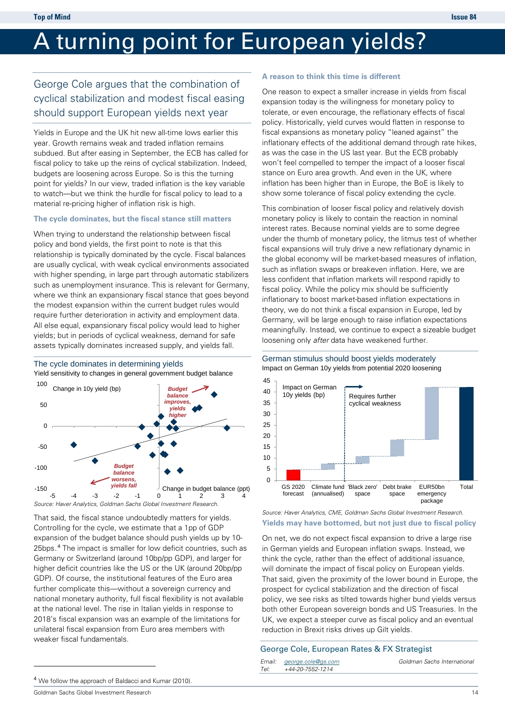# A turning point for European yields?

### George Cole argues that the combination of cyclical stabilization and modest fiscal easing should support European yields next year

Yields in Europe and the UK hit new all-time lows earlier this year. Growth remains weak and traded inflation remains subdued. But after easing in September, the ECB has called for fiscal policy to take up the reins of cyclical stabilization. Indeed, budgets are loosening across Europe. So is this the turning point for yields? In our view, traded inflation is the key variable to watch—but we think the hurdle for fiscal policy to lead to a material re-pricing higher of inflation risk is high.

#### **The cycle dominates, but the fiscal stance still matters**

When trying to understand the relationship between fiscal policy and bond yields, the first point to note is that this relationship is typically dominated by the cycle. Fiscal balances are usually cyclical, with weak cyclical environments associated with higher spending, in large part through automatic stabilizers such as unemployment insurance. This is relevant for Germany, where we think an expansionary fiscal stance that goes beyond the modest expansion within the current budget rules would require further deterioration in activity and employment data. All else equal, expansionary fiscal policy would lead to higher yields; but in periods of cyclical weakness, demand for safe assets typically dominates increased supply, and yields fall.

#### The cycle dominates in determining yields

Yield sensitivity to changes in general government budget balance



That said, the fiscal stance undoubtedly matters for yields. Controlling for the cycle, we estimate that a 1pp of GDP expansion of the budget balance should push yields up by 10- 25bps.<sup>4</sup> The impact is smaller for low deficit countries, such as Germany or Switzerland (around 10bp/pp GDP), and larger for higher deficit countries like the US or the UK (around 20bp/pp GDP). Of course, the institutional features of the Euro area further complicate this—without a sovereign currency and national monetary authority, full fiscal flexibility is not available at the national level. The rise in Italian yields in response to 2018's fiscal expansion was an example of the limitations for unilateral fiscal expansion from Euro area members with weaker fiscal fundamentals.

#### **A reason to think this time is different**

One reason to expect a smaller increase in yields from fiscal expansion today is the willingness for monetary policy to tolerate, or even encourage, the reflationary effects of fiscal policy. Historically, yield curves would flatten in response to fiscal expansions as monetary policy "leaned against" the inflationary effects of the additional demand through rate hikes, as was the case in the US last year. But the ECB probably won't feel compelled to temper the impact of a looser fiscal stance on Euro area growth. And even in the UK, where inflation has been higher than in Europe, the BoE is likely to show some tolerance of fiscal policy extending the cycle.

This combination of looser fiscal policy and relatively dovish monetary policy is likely to contain the reaction in nominal interest rates. Because nominal yields are to some degree under the thumb of monetary policy, the litmus test of whether fiscal expansions will truly drive a new reflationary dynamic in the global economy will be market-based measures of inflation, such as inflation swaps or breakeven inflation. Here, we are less confident that inflation markets will respond rapidly to fiscal policy. While the policy mix should be sufficiently inflationary to boost market-based inflation expectations in theory, we do not think a fiscal expansion in Europe, led by Germany, will be large enough to raise inflation expectations meaningfully. Instead, we continue to expect a sizeable budget loosening only *after* data have weakened further.



German stimulus should boost yields moderately Impact on German 10y yields from potential 2020 loosening

*Source: Haver Analytics, CME, Goldman Sachs Global Investment Research.* **Yields may have bottomed, but not just due to fiscal policy** 

On net, we do not expect fiscal expansion to drive a large rise in German yields and European inflation swaps. Instead, we think the cycle, rather than the effect of additional issuance, will dominate the impact of fiscal policy on European yields. That said, given the proximity of the lower bound in Europe, the prospect for cyclical stabilization and the direction of fiscal policy, we see risks as tilted towards higher bund yields versus both other European sovereign bonds and US Treasuries. In the UK, we expect a steeper curve as fiscal policy and an eventual reduction in Brexit risks drives up Gilt yields.

#### George Cole, European Rates & FX Strategist

|      | Email: george.cole@gs.com | Goldman Sachs International |
|------|---------------------------|-----------------------------|
| Tel: | +44-20-7552-1214          |                             |

-

<sup>4</sup> We follow the approach of Baldacci and Kumar (2010).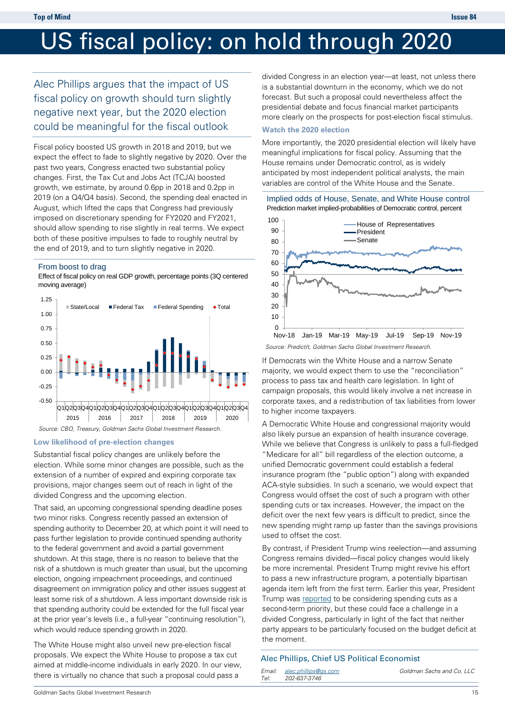# US fiscal policy: on hold through 2020

### Alec Phillips argues that the impact of US fiscal policy on growth should turn slightly negative next year, but the 2020 election could be meaningful for the fiscal outlook

Fiscal policy boosted US growth in 2018 and 2019, but we expect the effect to fade to slightly negative by 2020. Over the past two years, Congress enacted two substantial policy changes. First, the Tax Cut and Jobs Act (TCJA) boosted growth, we estimate, by around 0.6pp in 2018 and 0.2pp in 2019 (on a Q4/Q4 basis). Second, the spending deal enacted in August, which lifted the caps that Congress had previously imposed on discretionary spending for FY2020 and FY2021, should allow spending to rise slightly in real terms. We expect both of these positive impulses to fade to roughly neutral by the end of 2019, and to turn slightly negative in 2020.

#### From boost to drag

Effect of fiscal policy on real GDP growth, percentage points (3Q centered moving average)



#### **Low likelihood of pre-election changes**

Substantial fiscal policy changes are unlikely before the election. While some minor changes are possible, such as the extension of a number of expired and expiring corporate tax provisions, major changes seem out of reach in light of the divided Congress and the upcoming election.

That said, an upcoming congressional spending deadline poses two minor risks. Congress recently passed an extension of spending authority to December 20, at which point it will need to pass further legislation to provide continued spending authority to the federal government and avoid a partial government shutdown. At this stage, there is no reason to believe that the risk of a shutdown is much greater than usual, but the upcoming election, ongoing impeachment proceedings, and continued disagreement on immigration policy and other issues suggest at least some risk of a shutdown. A less important downside risk is that spending authority could be extended for the full fiscal year at the prior year's levels (i.e., a full-year "continuing resolution"), which would reduce spending growth in 2020.

The White House might also unveil new pre-election fiscal proposals. We expect the White House to propose a tax cut aimed at middle-income individuals in early 2020. In our view, there is virtually no chance that such a proposal could pass a

divided Congress in an election year—at least, not unless there is a substantial downturn in the economy, which we do not forecast. But such a proposal could nevertheless affect the presidential debate and focus financial market participants more clearly on the prospects for post-election fiscal stimulus. **Watch the 2020 election**

More importantly, the 2020 presidential election will likely have meaningful implications for fiscal policy. Assuming that the House remains under Democratic control, as is widely anticipated by most independent political analysts, the main variables are control of the White House and the Senate.

#### Implied odds of House, Senate, and White House control Prediction market implied-probabilities of Democratic control, percent



*Source: PredictIt, Goldman Sachs Global Investment Research.*

If Democrats win the White House and a narrow Senate majority, we would expect them to use the "reconciliation" process to pass tax and health care legislation. In light of campaign proposals, this would likely involve a net increase in corporate taxes, and a redistribution of tax liabilities from lower to higher income taxpayers.

A Democratic White House and congressional majority would also likely pursue an expansion of health insurance coverage. While we believe that Congress is unlikely to pass a full-fledged "Medicare for all" bill regardless of the election outcome, a unified Democratic government could establish a federal insurance program (the "public option") along with expanded ACA-style subsidies. In such a scenario, we would expect that Congress would offset the cost of such a program with other spending cuts or tax increases. However, the impact on the deficit over the next few years is difficult to predict, since the new spending might ramp up faster than the savings provisions used to offset the cost.

By contrast, if President Trump wins reelection—and assuming Congress remains divided—fiscal policy changes would likely be more incremental. President Trump might revive his effort to pass a new infrastructure program, a potentially bipartisan agenda item left from the first term. Earlier this year, President Trump wa[s reported](https://www.washingtonpost.com/business/economy/trump-tells-aides-to-look-for-big-spending-cuts-in-second-term-seeding-confusion-about-budget-priorities/2019/07/19/3e9e9bde-a98c-11e9-86dd-d7f0e60391e9_story.html) to be considering spending cuts as a second-term priority, but these could face a challenge in a divided Congress, particularly in light of the fact that neither party appears to be particularly focused on the budget deficit at the moment.

### Alec Phillips, Chief US Political Economist

*Tel: 202-637-3746*

*Email: [alec.phillips@gs.com](mailto:alec.phillips@gs.com) Goldman Sachs and Co. LLC*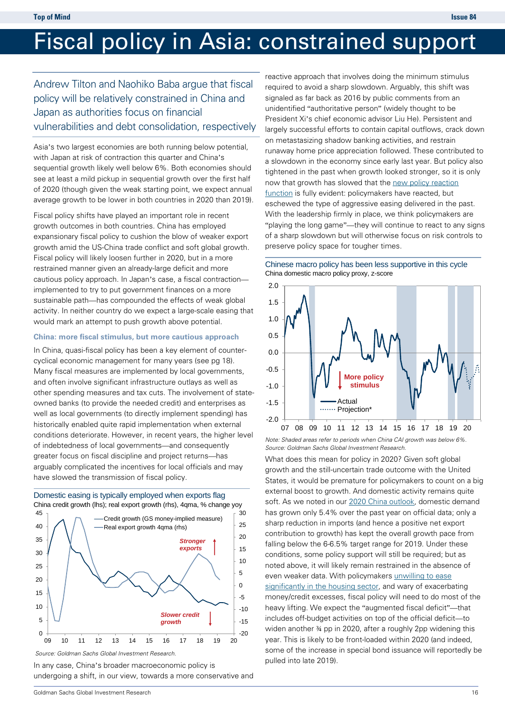# Fiscal policy in Asia: constrained support

### Andrew Tilton and Naohiko Baba argue that fiscal policy will be relatively constrained in China and Japan as authorities focus on financial vulnerabilities and debt consolidation, respectively

Asia's two largest economies are both running below potential. with Japan at risk of contraction this quarter and China's sequential growth likely well below 6%. Both economies should see at least a mild pickup in sequential growth over the first half of 2020 (though given the weak starting point, we expect annual average growth to be lower in both countries in 2020 than 2019).

Fiscal policy shifts have played an important role in recent growth outcomes in both countries. China has employed expansionary fiscal policy to cushion the blow of weaker export growth amid the US-China trade conflict and soft global growth. Fiscal policy will likely loosen further in 2020, but in a more restrained manner given an already-large deficit and more cautious policy approach. In Japan's case, a fiscal contraction implemented to try to put government finances on a more sustainable path—has compounded the effects of weak global activity. In neither country do we expect a large-scale easing that would mark an attempt to push growth above potential.

#### **China: more fiscal stimulus, but more cautious approach**

In China, quasi-fiscal policy has been a key element of countercyclical economic management for many years (see pg 18). Many fiscal measures are implemented by local governments, and often involve significant infrastructure outlays as well as other spending measures and tax cuts. The involvement of stateowned banks (to provide the needed credit) and enterprises as well as local governments (to directly implement spending) has historically enabled quite rapid implementation when external conditions deteriorate. However, in recent years, the higher level of indebtedness of local governments—and consequently greater focus on fiscal discipline and project returns—has arguably complicated the incentives for local officials and may have slowed the transmission of fiscal policy.

Domestic easing is typically employed when exports flag China credit growth (lhs); real export growth (rhs), 4qma, % change yoy



*Source: Goldman Sachs Global Investment Research.*

In any case, China's broader macroeconomic policy is undergoing a shift, in our view, towards a more conservative and reactive approach that involves doing the minimum stimulus required to avoid a sharp slowdown. Arguably, this shift was signaled as far back as 2016 by public comments from an unidentified "authoritative person" (widely thought to be President Xi's chief economic advisor Liu He). Persistent and largely successful efforts to contain capital outflows, crack down on metastasizing shadow banking activities, and restrain runaway home price appreciation followed. These contributed to a slowdown in the economy since early last year. But policy also tightened in the past when growth looked stronger, so it is only now that growth has slowed that the [new policy reaction](https://research.gs.com/content/research/en/reports/2019/09/01/855637dd-e6ca-4cb6-a7ed-0e8f38fc681f.html)  [function](https://research.gs.com/content/research/en/reports/2019/09/01/855637dd-e6ca-4cb6-a7ed-0e8f38fc681f.html) is fully evident: policymakers have reacted, but eschewed the type of aggressive easing delivered in the past. With the leadership firmly in place, we think policymakers are "playing the long game"—they will continue to react to any signs of a sharp slowdown but will otherwise focus on risk controls to preserve policy space for tougher times.

#### Chinese macro policy has been less supportive in this cycle China domestic macro policy proxy, z-score



*Note: Shaded areas refer to periods when China CAI growth was below 6%. Source: Goldman Sachs Global Investment Research.*

What does this mean for policy in 2020? Given soft global growth and the still-uncertain trade outcome with the United States, it would be premature for policymakers to count on a big external boost to growth. And domestic activity remains quite soft. As we noted in ou[r 2020 China outlook,](https://research.gs.com/content/research/en/reports/2019/11/21/291d7e82-2fc0-4506-9a1e-f6fe8dea37e2.html) domestic demand has grown only 5.4% over the past year on official data; only a sharp reduction in imports (and hence a positive net export contribution to growth) has kept the overall growth pace from falling below the 6-6.5% target range for 2019. Under these conditions, some policy support will still be required; but as noted above, it will likely remain restrained in the absence of even weaker data. With policymakers [unwilling to ease](https://research.gs.com/content/research/en/reports/2019/11/15/bd77b850-9666-414c-af12-f0a9e856a900.html)  [significantly in the housing sector,](https://research.gs.com/content/research/en/reports/2019/11/15/bd77b850-9666-414c-af12-f0a9e856a900.html) and wary of exacerbating money/credit excesses, fiscal policy will need to do most of the heavy lifting. We expect the "augmented fiscal deficit"—that includes off-budget activities on top of the official deficit—to widen another 34 pp in 2020, after a roughly 2pp widening this year. This is likely to be front-loaded within 2020 (and indeed, some of the increase in special bond issuance will reportedly be pulled into late 2019).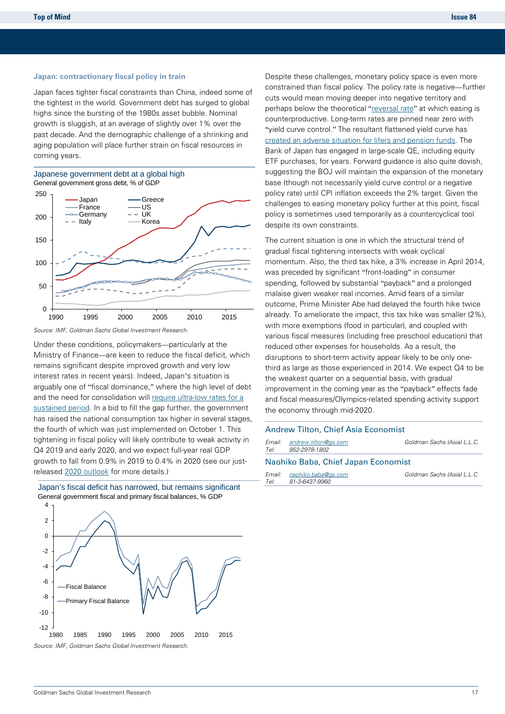#### **Japan: contractionary fiscal policy in train**

Japan faces tighter fiscal constraints than China, indeed some of the tightest in the world. Government debt has surged to global highs since the bursting of the 1980s asset bubble. Nominal growth is sluggish, at an average of slightly over 1% over the past decade. And the demographic challenge of a shrinking and aging population will place further strain on fiscal resources in coming years.

Japanese government debt at a global high General government gross debt, % of GDP



*Source: IMF, Goldman Sachs Global Investment Research.*

Under these conditions, policymakers—particularly at the Ministry of Finance—are keen to reduce the fiscal deficit, which remains significant despite improved growth and very low interest rates in recent years). Indeed, Japan's situation is arguably one of "fiscal dominance," where the high level of debt and the need for consolidation will [require ultra-low rates for a](https://research.gs.com/content/research/en/reports/2018/07/10/19151854-aa04-4496-ba83-171df19f5841.html)  [sustained period.](https://research.gs.com/content/research/en/reports/2018/07/10/19151854-aa04-4496-ba83-171df19f5841.html) In a bid to fill the gap further, the government has raised the national consumption tax higher in several stages, the fourth of which was just implemented on October 1. This tightening in fiscal policy will likely contribute to weak activity in Q4 2019 and early 2020, and we expect full-year real GDP growth to fall from 0.9% in 2019 to 0.4% in 2020 (see our justreleased [2020 outlook](https://research.gs.com/content/research/en/reports/2019/11/21/a22752ae-93a3-4bd4-9bae-d11f2b8f6125.html) for more details.)





Despite these challenges, monetary policy space is even more constrained than fiscal policy. The policy rate is negative—further cuts would mean moving deeper into negative territory and perhaps below the theoretical "[reversal rate](https://research.gs.com/content/research/en/reports/2019/09/27/bc00bca9-4af6-49a4-b821-65cd1d5feb0b.html)" at which easing is counterproductive. Long-term rates are pinned near zero with "yield curve control." The resultant flattened yield curve has [created an adverse situation for lifers and pension funds.](https://research.gs.com/content/research/en/reports/2019/10/18/5e2e98fd-3f6e-4482-803a-ff3df37c0d7c.html) The Bank of Japan has engaged in large-scale QE, including equity ETF purchases, for years. Forward guidance is also quite dovish, suggesting the BOJ will maintain the expansion of the monetary base (though not necessarily yield curve control or a negative policy rate) until CPI inflation exceeds the 2% target. Given the challenges to easing monetary policy further at this point, fiscal policy is sometimes used temporarily as a countercyclical tool despite its own constraints.

The current situation is one in which the structural trend of gradual fiscal tightening intersects with weak cyclical momentum. Also, the third tax hike, a 3% increase in April 2014, was preceded by significant "front-loading" in consumer spending, followed by substantial "payback" and a prolonged malaise given weaker real incomes. Amid fears of a similar outcome, Prime Minister Abe had delayed the fourth hike twice already. To ameliorate the impact, this tax hike was smaller (2%), with more exemptions (food in particular), and coupled with various fiscal measures (including free preschool education) that reduced other expenses for households. As a result, the disruptions to short-term activity appear likely to be only onethird as large as those experienced in 2014. We expect Q4 to be the weakest quarter on a sequential basis, with gradual improvement in the coming year as the "payback" effects fade and fiscal measures/Olympics-related spending activity support the economy through mid-2020.

| <b>Andrew Tilton, Chief Asia Economist</b> |                                                   |                                 |  |  |  |
|--------------------------------------------|---------------------------------------------------|---------------------------------|--|--|--|
|                                            | Email: andrew.tilton@gs.com<br>Tel: 852-2978-1802 | Goldman Sachs (Asia) L.L.C.     |  |  |  |
|                                            | Naohiko Baba, Chief Japan Economist               |                                 |  |  |  |
|                                            | $E_{\text{mail}}$ probiled baba@ge com            | $Caldman$ $Caohe$ $(Aciall I C$ |  |  |  |

|      | Email: naohiko.baba@gs.com | Goldman Sachs (Asia) L.L.C. |
|------|----------------------------|-----------------------------|
| Tel: | 81-3-6437-9960             |                             |
|      |                            |                             |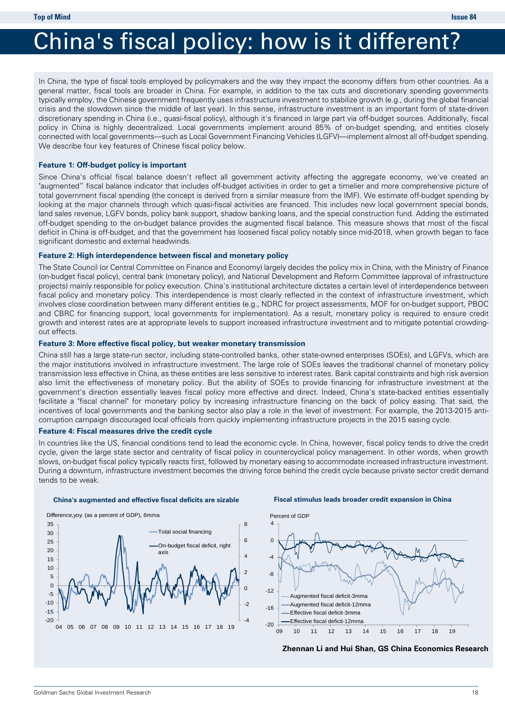# China's fiscal policy: how is it different?

In China, the type of fiscal tools employed by policymakers and the way they impact the economy differs from other countries. As a general matter, fiscal tools are broader in China. For example, in addition to the tax cuts and discretionary spending governments typically employ, the Chinese government frequently uses infrastructure investment to stabilize growth (e.g., during the global financial crisis and the slowdown since the middle of last year). In this sense, infrastructure investment is an important form of state-driven discretionary spending in China (i.e., quasi-fiscal policy), although it's financed in large part via off-budget sources. Additionally, fiscal policy in China is highly decentralized. Local governments implement around 85% of on-budget spending, and entities closely connected with local governments—such as Local Government Financing Vehicles (LGFV)—implement almost all off-budget spending. We describe four key features of Chinese fiscal policy below.

#### **Feature 1: Off-budget policy is important**

Since China's official fiscal balance doesn't reflect all government activity affecting the aggregate economy, we've created an "augmented" fiscal balance indicator that includes off-budget activities in order to get a timelier and more comprehensive picture of total government fiscal spending (the concept is derived from a similar measure from the IMF). We estimate off-budget spending by looking at the major channels through which quasi-fiscal activities are financed. This includes new local government special bonds, land sales revenue, LGFV bonds, policy bank support, shadow banking loans, and the special construction fund. Adding the estimated off-budget spending to the on-budget balance provides the augmented fiscal balance. This measure shows that most of the fiscal deficit in China is off-budget, and that the government has loosened fiscal policy notably since mid-2018, when growth began to face significant domestic and external headwinds.

#### **Feature 2: High interdependence between fiscal and monetary policy**

The State Council (or Central Committee on Finance and Economy) largely decides the policy mix in China, with the Ministry of Finance (on-budget fiscal policy), central bank (monetary policy), and National Development and Reform Committee (approval of infrastructure projects) mainly responsible for policy execution. China's institutional architecture dictates a certain level of interdependence between fiscal policy and monetary policy. This interdependence is most clearly reflected in the context of infrastructure investment, which involves close coordination between many different entities (e.g., NDRC for project assessments, MOF for on-budget support, PBOC and CBRC for financing support, local governments for implementation). As a result, monetary policy is required to ensure credit growth and interest rates are at appropriate levels to support increased infrastructure investment and to mitigate potential crowdingout effects.

#### **Feature 3: More effective fiscal policy, but weaker monetary transmission**

China still has a large state-run sector, including state-controlled banks, other state-owned enterprises (SOEs), and LGFVs, which are the major institutions involved in infrastructure investment. The large role of SOEs leaves the traditional channel of monetary policy transmission less effective in China, as these entities are less sensitive to interest rates. Bank capital constraints and high risk aversion also limit the effectiveness of monetary policy. But the ability of SOEs to provide financing for infrastructure investment at the government's direction essentially leaves fiscal policy more effective and direct. Indeed, China's state-backed entities essentially facilitate a "fiscal channel" for monetary policy by increasing infrastructure financing on the back of policy easing. That said, the incentives of local governments and the banking sector also play a role in the level of investment. For example, the 2013-2015 anticorruption campaign discouraged local officials from quickly implementing infrastructure projects in the 2015 easing cycle.

#### **Feature 4: Fiscal measures drive the credit cycle**

In countries like the US, financial conditions tend to lead the economic cycle. In China, however, fiscal policy tends to drive the credit cycle, given the large state sector and centrality of fiscal policy in countercyclical policy management. In other words, when growth slows, on-budget fiscal policy typically reacts first, followed by monetary easing to accommodate increased infrastructure investment. During a downturn, infrastructure investment becomes the driving force behind the credit cycle because private sector credit demand tends to be weak.



#### **China's augmented and effective fiscal deficits are sizable Fiscal stimulus leads broader credit expansion in China**



**Zhennan Li and Hui Shan, GS China Economics Research**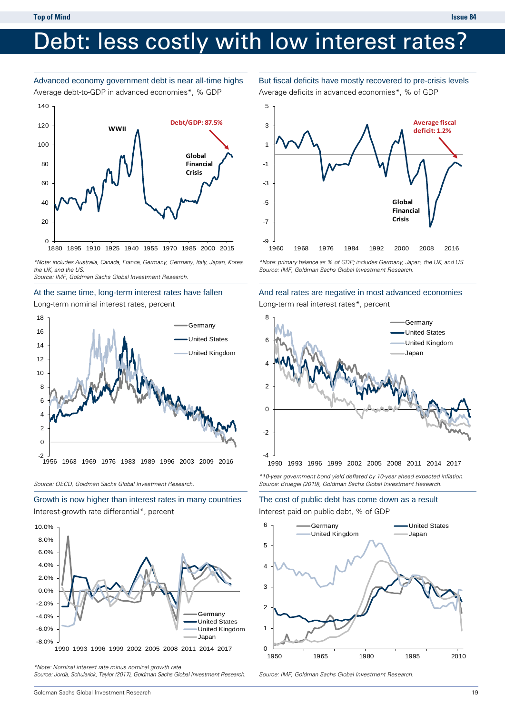# Debt: less costly with low interest rates?

Advanced economy government debt is near all-time highs Average debt-to-GDP in advanced economies\*, % GDP



*\*Note: includes Australia, Canada, France, Germany, Germany, Italy, Japan, Korea, the UK, and the US.*

*Source: IMF, Goldman Sachs Global Investment Research.*

At the same time, long-term interest rates have fallen Long-term nominal interest rates, percent



*Source: OECD, Goldman Sachs Global Investment Research.*



Growth is now higher than interest rates in many countries



*<sup>\*</sup>Note: Nominal interest rate minus nominal growth rate.*

*Source: Jordà, Schularick, Taylor (2017), Goldman Sachs Global Investment Research. Source: IMF, Goldman Sachs Global Investment Research.*

But fiscal deficits have mostly recovered to pre-crisis levels Average deficits in advanced economies\*, % of GDP



*\*Note: primary balance as % of GDP; includes Germany, Japan, the UK, and US. Source: IMF, Goldman Sachs Global Investment Research.*

And real rates are negative in most advanced economies Long-term real interest rates\*, percent



*\*10-year government bond yield deflated by 10-year ahead expected inflation. Source: Bruegel (2019), Goldman Sachs Global Investment Research.*

The cost of public debt has come down as a result

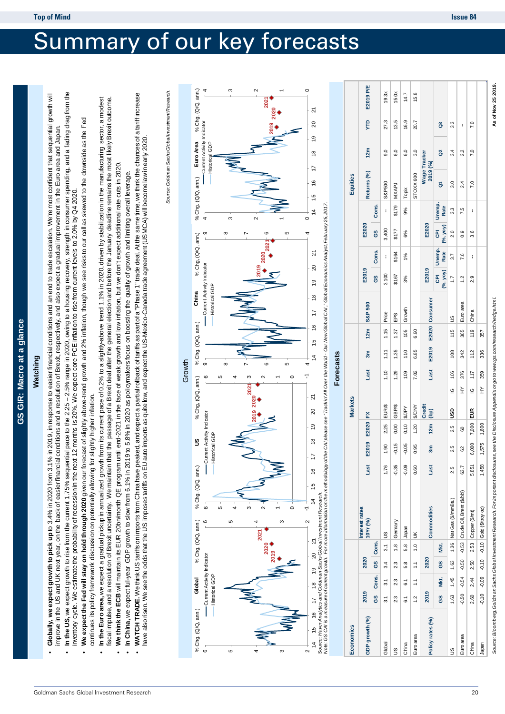# **Watching**

- Globally, we expect growth to pick up to 3.4% in 2020 from 3.1% in 2019, in response to easier financial conditions and an end to trade escalation. We're most confident that sequential growth will **Globally, we expect growth to pick up** to 3.4% in 2020 from 3.1% in 2019, in response to easier financial conditions and an end to trade escalation. We're most confident that sequential growth will improve in the US and UK next year, on the back of easier financial conditions and a resolution of Brexit, respectively, and also expect a gradual improvement in the Euro area and Japan. improve in the US and UK next year, on the back of easier financial conditions and a resolution of Brexit, respectively, and also expect a gradual improvement in the Euro area and Japan. •
- **In the US,** we expect growth to rise from the current 1.75% sequential pace to the 2.25 2.5% range in 2020, owing to a housing recovery, strength in consumer spending, and a fading drag from the **In the US,** we expect growth to rise from the current 1.75% sequential pace to the 2.25 – 2.5% range in 2020, owing to a housing recovery, strength in consumer spending, and a fading drag from the inventory cycle. We estimate the probability of recession in the next 12 months is 20%. We expect core PCE inflation to rise from current levels to 2.0% by Q4 2020. •
	- **We expect the Fed will stay on hold through 2020** given our forecast of slightly above-trend growth and 2% inflation, though we see risks to our call as skewed to the downside as the Fed We expect the Fed will stay on hold through 2020 given our forecast of slightly above-trend growth and 2% inflation, though we see risks to our call as skewed to the downside as the Fed inventory cycle. We estimate the probability of recession in the next 12 months is 20%. We expect core PCE inflation to rise from current levels to 2.0% by Q4 2020. •
- fiscal impulse, and a resolution of Brexit uncertainty. We maintain that the passage of a Brexit deal after the general election and before the January deadline remains the most likely Brexit outcome. In the Euro area, we expect a gradual pickup in annualized growth from its current pace of 0.2% to a slightly-above trend 1.1% in 2020, driven by stabilization in the manufacturing sector, a modest **In the Euro area,** we expect a gradual pickup in annualized growth from its current pace of 0.2% to a slightly-above trend 1.1% in 2020, driven by stabilization in the manufacturing sector, a modest fiscal impulse, and a resolution of Brexit uncertainty. We maintain that the passage of a Brexit deal after the general election and before the January deadline remains the most likely Brexit outcome. continues its policy framework discussion on potentially allowing for slightly higher inflation. continues its policy framework discussion on potentially allowing for slightly higher inflation. •
- **We think the ECB** will maintain its EUR 20bn/month QE program until end-2021 in the face of weak growth and low inflation, but we don't expect additional rate cuts in 2020. We think the ECB will maintain its EUR 20bn/month QE program until end-2021 in the face of weak growth and low inflation, but we don't expect additional rate cuts in 2020. •
- **In China,** we expect full-year GDP growth to slow from 6.1% in 2019 to 5.8% in 2020 as policymakers focus on boosting the quality of growth and limiting overall leverage. I**n China,** we expect full-year GDP growth to slow from 6.1% in 2019 to 5.8% in 2020 as policymakers focus on boosting the quality of growth and limiting overall leverage. •
- **WATCH TRADE.** We think US tariffs on imports from China have peaked, and expect a partial rollback of tariffs as part of a "Phase 1" trade deal. At the same time, we think the chances of a tariff increase WATCH TRADE. We think US tarifis on imports from China have peaked, and expect a partial rollback of tarifis as part of a "Phase 1" trade deal. At the same time, we think the chances of a tariff increase •
	- have also risen. We see the odds that the US imposes tariffs on EU auto imports as quite low, and expect the US-Mexico-Canada trade agreement (USMCA) will become law in early 2020. have also risen. We see the odds that the US imposes tariffs on EU auto imports as quite low, and expect the US-Mexico-Canada trade agreement (USMCA) will become law in early 2020.

Source: Goldman Sachs Global Investment Research. *Source: Goldman Sachs Global Investment Research.*

Summary of our key forecasts



E2019 P/E – 2019 2020 Interestrates – Last E2019 E2020 FX – Last 3m 12m S&P 500 – E2019 – E2020 Returns (%) 12m – YTD E2019 P/E<br>GDP growth (%) – 10Yr (%) 15.0x  $19.3x$  $14.7$ 15.8 Global 3.1 3.1 3.4 3.1 US 1.76 1.90 2.25 EUR/\$ 1.10 1.11 1.15 Price 3,100 -- 3,400 -- S&P500 9.0 27.3 19.3x US 2.3 2.3 2.3 1.8 Germany -0.35 -0.15 0.00 GBP/\$ 1.29 1.35 1.37 EPS \$167 \$164 \$177 \$179 MXAPJ 6.0 13.5 15.0x China 6.1 6.1 5.8 5.8 Japan -0.09 -0.05 0.10 \$/JPY 109 110 105 Growth 3% 1% 6% 9% Topix 6.0 16.9 14.7 Euroarea 1.2 1.1 1.1 1.2 1.1 1.1 1.1 1.1 1.0.30 1.05 1.20 \$/CNY 1.02 6.85 6.85 6.85 6.90 ICN 7.02 5.0 3.0 20.7 ę 27.3 13.5 16.9 20.7 G  $3.3$ 7.0  $\bar{1}$ **GS Mkt. GS Mkt. CPI (%, yoy) Unemp. Rate CPI (%, yoy) Unemp. Rate Q1 Q2 Q3** US 1.63 1.45 1.63 1.36 Nat Gas (\$/mmBtu) 2.5 2.5 2.5 **USD** IG 106 108 115 US 1.7 3.7 2.0 3.3 3.0 3.4 3.3 China 2.60 2.44 2.50 2.53 Copper (\$/mt) 5,851 6,000 7,000 **EUR** IG 117 112 119 China 2.9 -- 3.6 -- 7.0 7.0 7.0 Euro area -0.50 -0.53 Crude Oil, Brent (\$/bbl) 63.7 62 60 HY 376 342 342 543 Euro area 1.2 7.5 7.5 2.4 2.2 -- $12m$  $\overline{6.0}$ 6.0  $3.0$ 7.0  $\overline{9.0}$ a  $3.4$ 2.2 Wage Tracker Policy rates (%) 2019 2020 Commodities Last 3m 12m (Dredit Last E2019 E2020 Consumer E2019 E2020 2020 2019 (%)<br>Policy rates (%) 2019 (%) 2019 (%) 2019 (%) Returns (%) STOXX 600 Equities **Economics Markets Equities**  $3.0$  $2.4$  $7.0$ S&P500 ā **MXAPJ** Topix Cons.  $$179$ **Unemp. GS Cons. GS Cons. GS Cons. GS Cons.** Rate l, 9%  $\overline{3}$ 7.5  $\overline{1}$ E2020 E2020 (%, yoy) 3,400  $5177$ GS <u>පි</u>  $2.0$  $\overline{0}$  $3.6$ 6% Unemp.<br>Rate Cons. \$164  $3.7$ 7.6  $1%$ J. J, E2019 E2019 (Vo/ Xo 3,100 \$167 GPI s<br>G  $3%$  $\overline{11}$  $\frac{1}{2}$  $2.9$ Consumer S&P 500 Euro area Growth China Price EPS S  $1.15$ E2020  $12m$  $1.37$  $105$ 115 365 119 6.90 357 Japan -0.10 -0.10 -0.10 -0.10 -0.10 -0.10 -0.10 -0.10 Hy 357 1,575 1,575 1,575 1,575 1,575 1,575 1,57 E2019  $1.35$  $111$  $110$ 6.85  $108$ 342  $112$ 336  $\frac{5}{2}$ Last 1.10 1.29 7.02 Last 109  $106$ 376  $117$ 359  $\bf \hat{\bm{\Xi}}$  $\overline{6}$  $\bf \hat{r}$  $\overline{2}$ **Markets** GBP/\$ **\$/CNY** EUR/\$ **Adr/\$** Credit **Gd GSL** EUR Ř 7,000 E2020  $0.10$ 2.25 1,600 0.00  $1.20$  $12m$ 2.5 8 E2019 6,000 1,575  $-0.15$  $1.90$  $-0.05$ 0.95  $\frac{5}{2}$ 2.5 62 5,851 1,458 Last  $-76$  $0.35$  $0.09$ 63.7 0.60 Last 2.5 -0.53 Crude Oil, Brent (\$/bbl) 1.36 Nat Gas (\$/mmBtu)  $-0.10 - 0.10$  Gold (\$/troy oz) Commodities nterest rates Copper (\$/mt) 10Yr (%) Germany Japan 9  $\leq$ 2.53 Cons.  $\overline{31}$  $\frac{8}{10}$ 5.8  $\frac{0}{2}$ Mkt. 2020 2020 2.50 1.63  $-0.50$ GS  $3.4$ g<br>G 2.3 5.8  $\ddot{ }$ 2.44  $-0.09$  $-0.54$ Cons. Mkt. 1.45  $\frac{3}{3}$  $\overline{61}$  $\ddot{ }$  $2.3$ 2019 2019 cs<br>C  $-0.10$ ვ<br>ვ  $.63$ 0.50 2.60  $\overline{31}$  $23$  $\overline{61}$  $\frac{1}{2}$  $(%)$ Policy rates (%) GDP growth Economics Euro area Euro area Global China China Japan 9 9

As of Nov 25 2019.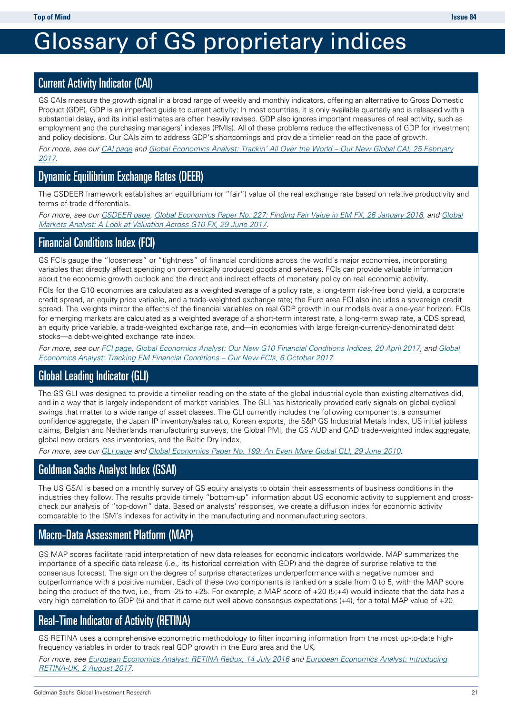# El Glossary of GS proprietary indices

## Current Activity Indicator (CAI)

GS CAIs measure the growth signal in a broad range of weekly and monthly indicators, offering an alternative to Gross Domestic Product (GDP). GDP is an imperfect quide to current activity: In most countries, it is only available quarterly and is released with a substantial delay, and its initial estimates are often heavily revised. GDP also ignores important measures of real activity, such as employment and the purchasing managers' indexes (PMIs). All of these problems reduce the effectiveness of GDP for investment and policy decisions. Our CAIs aim to address GDP's shortcomings and provide a timelier read on the pace of growth.

*For more, see our [CAI page](https://research.gs.com/content/research/themes/cai.html) and [Global Economics Analyst: Trackin' All Over the World –](https://research.gs.com/content/research/en/reports/2017/02/25/ba9a97d9-e2d5-43e7-a0b9-19d6fd282bdc.html) Our New Global CAI, 25 February [2017.](https://research.gs.com/content/research/en/reports/2017/02/25/ba9a97d9-e2d5-43e7-a0b9-19d6fd282bdc.html)* 

### Dynamic Equilibrium Exchange Rates (DEER)

The GSDEER framework establishes an equilibrium (or "fair") value of the real exchange rate based on relative productivity and terms-of-trade differentials.

*For more, see our [GSDEER page,](https://research.gs.com/content/research/themes/gsdeer.html) [Global Economics Paper No. 227: Finding Fair Value in EM FX, 26 January 2016,](https://research.gs.com/content/research/en/reports/2016/01/26/0a10ed70-56f2-4515-b73b-fa57dbeb306d.pdf) an[d Global](https://research.gs.com/content/research/en/reports/2017/06/29/4c2b23b0-6fd5-48dd-bd6c-a474d1a0b6f6.html)  [Markets Analyst: A Look at Valuation Across G10 FX, 29 June 2017.](https://research.gs.com/content/research/en/reports/2017/06/29/4c2b23b0-6fd5-48dd-bd6c-a474d1a0b6f6.html)*

### Financial Conditions Index (FCI)

GS FCIs gauge the "looseness" or "tightness" of financial conditions across the world's major economies, incorporating variables that directly affect spending on domestically produced goods and services. FCIs can provide valuable information about the economic growth outlook and the direct and indirect effects of monetary policy on real economic activity.

FCIs for the G10 economies are calculated as a weighted average of a policy rate, a long-term risk-free bond yield, a corporate credit spread, an equity price variable, and a trade-weighted exchange rate; the Euro area FCI also includes a sovereign credit spread. The weights mirror the effects of the financial variables on real GDP growth in our models over a one-year horizon. FCIs for emerging markets are calculated as a weighted average of a short-term interest rate, a long-term swap rate, a CDS spread, an equity price variable, a trade-weighted exchange rate, and—in economies with large foreign-currency-denominated debt stocks—a debt-weighted exchange rate index.

*For more, see ou[r FCI page,](https://research.gs.com/content/research/themes/fci.html) Global Economics [Analyst: Our New G10 Financial Conditions Indices, 20 April 2017,](https://research.gs.com/content/research/en/reports/2017/04/20/c10f888f-4faa-4ffc-b4c2-518cf5ffffe3.html) and [Global](https://research.gs.com/content/research/en/reports/2017/10/06/172c1e3f-b851-45a7-b503-3e9b665f295c.sitePilot.html)  [Economics Analyst: Tracking EM Financial Conditions –](https://research.gs.com/content/research/en/reports/2017/10/06/172c1e3f-b851-45a7-b503-3e9b665f295c.sitePilot.html) Our New FCIs, 6 October 2017.*

### Global Leading Indicator (GLI)

The GS GLI was designed to provide a timelier reading on the state of the global industrial cycle than existing alternatives did, and in a way that is largely independent of market variables. The GLI has historically provided early signals on global cyclical swings that matter to a wide range of asset classes. The GLI currently includes the following components: a consumer confidence aggregate, the Japan IP inventory/sales ratio, Korean exports, the S&P GS Industrial Metals Index, US initial jobless claims, Belgian and Netherlands manufacturing surveys, the Global PMI, the GS AUD and CAD trade-weighted index aggregate, global new orders less inventories, and the Baltic Dry Index.

*For more, see our [GLI page](https://research.gs.com/content/research/themes/gli.html) and [Global Economics Paper No. 199: An Even More Global GLI, 29 June 2010.](https://research.gs.com/content/research/en/reports/2010/06/29/ee182796-839f-11df-91cd-00215acdb578.pdf)*

### Goldman Sachs Analyst Index (GSAI)

The US GSAI is based on a monthly survey of GS equity analysts to obtain their assessments of business conditions in the industries they follow. The results provide timely "bottom-up" information about US economic activity to supplement and crosscheck our analysis of "top-down" data. Based on analysts' responses, we create a diffusion index for economic activity comparable to the ISM's indexes for activity in the manufacturing and nonmanufacturing sectors.

# Macro-Data Assessment Platform (MAP)

GS MAP scores facilitate rapid interpretation of new data releases for economic indicators worldwide. MAP summarizes the importance of a specific data release (i.e., its historical correlation with GDP) and the degree of surprise relative to the consensus forecast. The sign on the degree of surprise characterizes underperformance with a negative number and outperformance with a positive number. Each of these two components is ranked on a scale from 0 to 5, with the MAP score being the product of the two, i.e., from -25 to +25. For example, a MAP score of +20 (5;+4) would indicate that the data has a very high correlation to GDP (5) and that it came out well above consensus expectations (+4), for a total MAP value of +20.

### Real-Time Indicator of Activity (RETINA)

GS RETINA uses a comprehensive econometric methodology to filter incoming information from the most up-to-date highfrequency variables in order to track real GDP growth in the Euro area and the UK.

*For more, see [European Economics Analyst: RETINA Redux, 14 July 2016](https://research.gs.com/content/research/en/reports/2016/07/14/6067db38-22af-44bf-a196-4abd14e819f2.html) an[d European Economics Analyst: Introducing](https://research.gs.com/content/research/en/reports/2017/08/02/10a687bc-c3a9-47a0-ad27-a59a4dbb06b2.html)  [RETINA-UK, 2 August 2017.](https://research.gs.com/content/research/en/reports/2017/08/02/10a687bc-c3a9-47a0-ad27-a59a4dbb06b2.html)*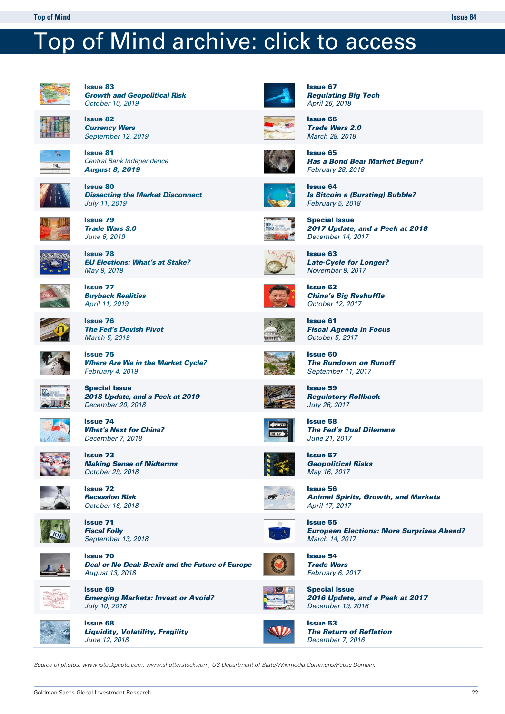# Top of Mind archive: click to access



[Issue 83](https://research.gs.com/content/research/en/reports/2019/10/10/659008c3-e06b-400e-ad02-2946c57f6201.pdf) *[Growth and Geopolitical Risk](https://research.gs.com/content/research/en/reports/2019/10/10/659008c3-e06b-400e-ad02-2946c57f6201.pdf) [October 10, 2019](https://research.gs.com/content/research/en/reports/2019/10/10/659008c3-e06b-400e-ad02-2946c57f6201.pdf)*



[Issue 82](https://research.gs.com/content/research/en/reports/2019/09/12/f75d7d59-df26-421d-9541-5f452f7b8fce.pdf) *[Currency Wars](https://research.gs.com/content/research/en/reports/2019/09/12/f75d7d59-df26-421d-9541-5f452f7b8fce.pdf) [September 12, 2019](https://research.gs.com/content/research/en/reports/2019/09/12/f75d7d59-df26-421d-9541-5f452f7b8fce.pdf)*



[Issue 81](https://research.gs.com/content/research/en/reports/2019/08/08/b176e205-7ac2-45f7-8473-8f8e2559697c.pdf) *[Central Bank Independence](https://research.gs.com/content/research/en/reports/2019/08/08/b176e205-7ac2-45f7-8473-8f8e2559697c.pdf) [August 8, 2019](https://research.gs.com/content/research/en/reports/2019/08/08/b176e205-7ac2-45f7-8473-8f8e2559697c.pdf)*



[Issue 80](https://research.gs.com/content/research/en/reports/2019/06/06/77112409-8d8b-4763-a1a3-d97db9417040.pdf) *[Dissecting the Market Disconnect](https://research.gs.com/content/research/en/reports/2019/06/06/77112409-8d8b-4763-a1a3-d97db9417040.pdf) [July 11, 2019](https://research.gs.com/content/research/en/reports/2019/06/06/77112409-8d8b-4763-a1a3-d97db9417040.pdf)*



[Issue 79](https://research.gs.com/content/research/en/reports/2019/06/06/77112409-8d8b-4763-a1a3-d97db9417040.pdf) *[Trade Wars 3.0](https://research.gs.com/content/research/en/reports/2019/06/06/77112409-8d8b-4763-a1a3-d97db9417040.pdf) [June 6, 2019](https://research.gs.com/content/research/en/reports/2019/06/06/77112409-8d8b-4763-a1a3-d97db9417040.pdf)*



[Issue 78](https://research.gs.com/content/research/en/reports/2019/05/09/ba9750aa-36b2-4295-8374-73e0b7f5c6a8.pdf) *[EU Elections: What's at Stake?](https://research.gs.com/content/research/en/reports/2019/05/09/ba9750aa-36b2-4295-8374-73e0b7f5c6a8.pdf) [May 9, 2019](https://research.gs.com/content/research/en/reports/2019/05/09/ba9750aa-36b2-4295-8374-73e0b7f5c6a8.pdf)*



[Issue 77](https://research.gs.com/content/research/en/reports/2019/04/11/ff3bd38f-14c2-45c5-a114-2e1094934638.pdf) *[Buyback Realities](https://research.gs.com/content/research/en/reports/2019/04/11/ff3bd38f-14c2-45c5-a114-2e1094934638.pdf) [April 11, 2019](https://research.gs.com/content/research/en/reports/2019/04/11/ff3bd38f-14c2-45c5-a114-2e1094934638.pdf)*

*[March 5, 2019](https://research.gs.com/content/research/en/reports/2019/03/05/3dcfae71-ecff-492a-b293-c072f3ea8946.pdf)*



[Issue 76](https://research.gs.com/content/research/en/reports/2019/03/05/3dcfae71-ecff-492a-b293-c072f3ea8946.pdf) *[The Fed's Dovish Pivot](https://research.gs.com/content/research/en/reports/2019/03/05/3dcfae71-ecff-492a-b293-c072f3ea8946.pdf)*



[Issue 75](https://research.gs.com/content/research/en/reports/2019/02/04/d70c0338-539c-4c64-91bd-adad3b82f2ea.pdf) *[Where Are We in the Market Cycle?](https://research.gs.com/content/research/en/reports/2019/02/04/d70c0338-539c-4c64-91bd-adad3b82f2ea.pdf) [February 4, 2019](https://research.gs.com/content/research/en/reports/2019/02/04/d70c0338-539c-4c64-91bd-adad3b82f2ea.pdf)*



[Special Issue](https://research.gs.com/content/research/en/reports/2018/12/20/bd8aac09-dd1d-4051-aee8-e421b533ba26.pdf) *[2018 Update, and a Peek at 2019](https://research.gs.com/content/research/en/reports/2018/12/20/bd8aac09-dd1d-4051-aee8-e421b533ba26.pdf) [December 20, 2018](https://research.gs.com/content/research/en/reports/2018/12/20/bd8aac09-dd1d-4051-aee8-e421b533ba26.pdf)*



[Issue 74](https://research.gs.com/content/research/en/reports/2018/12/07/957593a1-c621-4bae-81d4-ffd9f59987d1.pdf) *[What's Next for China?](https://research.gs.com/content/research/en/reports/2018/12/07/957593a1-c621-4bae-81d4-ffd9f59987d1.pdf) [December 7, 2018](https://research.gs.com/content/research/en/reports/2018/12/07/957593a1-c621-4bae-81d4-ffd9f59987d1.pdf)*



[Issue 73](https://research.gs.com/content/research/en/reports/2018/10/29/617c988b-d67a-4c9f-a1e0-d060408faf97.pdf) *[Making Sense of Midterms](https://research.gs.com/content/research/en/reports/2018/10/29/617c988b-d67a-4c9f-a1e0-d060408faf97.pdf) [October 29, 2018](https://research.gs.com/content/research/en/reports/2018/10/29/617c988b-d67a-4c9f-a1e0-d060408faf97.pdf)*



[Issue 72](https://research.gs.com/content/research/en/reports/2018/10/16/d4e5251b-44c8-4440-8c80-50e606022860.pdf) *[Recession Risk](https://research.gs.com/content/research/en/reports/2018/10/16/d4e5251b-44c8-4440-8c80-50e606022860.pdf) [October 16, 2018](https://research.gs.com/content/research/en/reports/2018/10/16/d4e5251b-44c8-4440-8c80-50e606022860.pdf)*





[Issue 70](https://research.gs.com/content/research/en/reports/2018/08/09/c66b12eb-0c55-4270-b7f7-af6cbf8bd0b7.pdf) *[Deal or No Deal: Brexit and the Future of Europe](https://research.gs.com/content/research/en/reports/2018/08/09/c66b12eb-0c55-4270-b7f7-af6cbf8bd0b7.pdf) [August 13, 2018](https://research.gs.com/content/research/en/reports/2018/08/09/c66b12eb-0c55-4270-b7f7-af6cbf8bd0b7.pdf)*



[Issue 69](https://research.gs.com/content/research/en/reports/2018/07/10/62e96ddc-43fd-4bb6-8f2a-309617fbed97.pdf) *[Emerging Markets: Invest or Avoid?](https://research.gs.com/content/research/en/reports/2018/07/10/62e96ddc-43fd-4bb6-8f2a-309617fbed97.pdf) [July 10, 2018](https://research.gs.com/content/research/en/reports/2018/07/10/62e96ddc-43fd-4bb6-8f2a-309617fbed97.pdf)*



[Issue 68](https://research.gs.com/content/research/en/reports/2018/06/12/05c4d08c-4109-4f47-a79e-582816c1354c.pdf) *[Liquidity, Volatility, Fragility](https://research.gs.com/content/research/en/reports/2018/06/12/05c4d08c-4109-4f47-a79e-582816c1354c.pdf) [June 12, 2018](https://research.gs.com/content/research/en/reports/2018/06/12/05c4d08c-4109-4f47-a79e-582816c1354c.pdf)*



[Issue 67](https://research.gs.com/content/research/en/reports/2018/04/26/f0da881b-9273-4120-b74e-a161eb25d25e.pdf) *[Regulating Big Tech](https://research.gs.com/content/research/en/reports/2018/04/26/f0da881b-9273-4120-b74e-a161eb25d25e.pdf) [April 26, 2018](https://research.gs.com/content/research/en/reports/2018/04/26/f0da881b-9273-4120-b74e-a161eb25d25e.pdf)*



[Issue 66](https://research.gs.com/content/research/en/reports/2018/03/28/fe2f67f9-ae9e-4db9-ba3f-14835f611db2.pdf) *[Trade Wars 2.0](https://research.gs.com/content/research/en/reports/2018/03/28/fe2f67f9-ae9e-4db9-ba3f-14835f611db2.pdf) [March 28, 2018](https://research.gs.com/content/research/en/reports/2018/03/28/fe2f67f9-ae9e-4db9-ba3f-14835f611db2.pdf)*



[Issue 65](https://research.gs.com/content/research/en/reports/2018/02/28/b4445366-6f6c-4caf-99d6-bb7cfd9c9be8.pdf) *[Has a Bond Bear Market Begun?](https://research.gs.com/content/research/en/reports/2018/02/28/b4445366-6f6c-4caf-99d6-bb7cfd9c9be8.pdf) [February 28, 2018](https://research.gs.com/content/research/en/reports/2018/02/28/b4445366-6f6c-4caf-99d6-bb7cfd9c9be8.pdf)*



[Issue 64](https://research.gs.com/content/research/en/reports/2018/02/05/42d255b3-256a-48ba-a3d0-da81b3eeb75a.pdf) *[Is Bitcoin a \(Bursting\) Bubble?](https://research.gs.com/content/research/en/reports/2018/02/05/42d255b3-256a-48ba-a3d0-da81b3eeb75a.pdf) [February 5, 2018](https://research.gs.com/content/research/en/reports/2018/02/05/42d255b3-256a-48ba-a3d0-da81b3eeb75a.pdf)*

[Special Issue](https://research.gs.com/content/research/en/reports/2017/12/14/06a49172-d4ae-46b6-9339-c4f67d3efb0f.pdf) *[2017 Update, and a Peek at 2018](https://research.gs.com/content/research/en/reports/2017/12/14/06a49172-d4ae-46b6-9339-c4f67d3efb0f.pdf) [December 14, 2017](https://research.gs.com/content/research/en/reports/2017/12/14/06a49172-d4ae-46b6-9339-c4f67d3efb0f.pdf)*



[Issue 63](https://research.gs.com/content/research/en/reports/2017/11/09/4984370c-77ff-4eae-ae65-4d55fc859aef.pdf) *[Late-Cycle for Longer?](https://research.gs.com/content/research/en/reports/2017/11/09/4984370c-77ff-4eae-ae65-4d55fc859aef.pdf)*



*[China's Big Reshuffle](https://research.gs.com/content/research/en/reports/2017/10/12/e01e956e-01fa-494f-9cd2-ff17b3a7a01b.pdf) [October 12, 2017](https://research.gs.com/content/research/en/reports/2017/10/12/e01e956e-01fa-494f-9cd2-ff17b3a7a01b.pdf)*

*[November 9, 2017](https://research.gs.com/content/research/en/reports/2017/11/09/4984370c-77ff-4eae-ae65-4d55fc859aef.pdf)*



[Issue 61](https://360.gs.com/gir/portal/?action=action.doc&d=c6b94c6d6c244b6ea842aae25001bbb8) *[Fiscal Agenda in Focus](https://360.gs.com/gir/portal/?action=action.doc&d=c6b94c6d6c244b6ea842aae25001bbb8) [October 5, 2017](https://360.gs.com/gir/portal/?action=action.doc&d=c6b94c6d6c244b6ea842aae25001bbb8)*



[Issue 60](https://research.gs.com/content/research/en/reports/2017/09/11/282dc2c0-26f1-4580-88b1-1bea9faab93f.pdf) *[The Rundown on Runoff](https://research.gs.com/content/research/en/reports/2017/09/11/282dc2c0-26f1-4580-88b1-1bea9faab93f.pdf) [September 11, 2017](https://research.gs.com/content/research/en/reports/2017/09/11/282dc2c0-26f1-4580-88b1-1bea9faab93f.pdf)*



[Issue 59](https://research.gs.com/content/research/en/reports/2017/07/26/2aae389e-f9a1-4681-8b6f-d86abb1038d9.pdf) *[Regulatory Rollback](https://research.gs.com/content/research/en/reports/2017/07/26/2aae389e-f9a1-4681-8b6f-d86abb1038d9.pdf) [July 26, 2017](https://research.gs.com/content/research/en/reports/2017/07/26/2aae389e-f9a1-4681-8b6f-d86abb1038d9.pdf)*



[Issue 58](https://360.gs.com/gs/portal/?st=1&action=action.binary&d=24243654&fn=/document.pdfhttps://360.gs.com/gs/portal/?st=1&action=action.binary&d=23951409&fn=/document.pdf) *[The Fed's Dual Dilemma](https://360.gs.com/gs/portal/?st=1&action=action.binary&d=24243654&fn=/document.pdfhttps://360.gs.com/gs/portal/?st=1&action=action.binary&d=23951409&fn=/document.pdf) [June 21, 2017](https://360.gs.com/gs/portal/?st=1&action=action.binary&d=24243654&fn=/document.pdfhttps://360.gs.com/gs/portal/?st=1&action=action.binary&d=23951409&fn=/document.pdf)*

*[Animal Spirits, Growth, and Markets](https://360.gs.com/gs/portal/?st=1&action=action.binary&d=23666440&fn=/document.pdfhttps://360.gs.com/gs/portal/?st=1&action=action.binary&d=23423230&fn=/document.pdf)*

*[European Elections: More Surprises Ahead?](https://360.gs.com/gs/portal/?st=1&action=action.binary&d=23423230&fn=/document.pdf)*



[Issue 57](https://360.gs.com/gs/portal/?st=1&action=action.binary&d=23951409&fn=/document.pdf) *[Geopolitical Risks](https://360.gs.com/gs/portal/?st=1&action=action.binary&d=23951409&fn=/document.pdf) [May 16, 2017](https://360.gs.com/gs/portal/?st=1&action=action.binary&d=23951409&fn=/document.pdf)*



*[April 17, 2017](https://360.gs.com/gs/portal/?st=1&action=action.binary&d=23666440&fn=/document.pdfhttps://360.gs.com/gs/portal/?st=1&action=action.binary&d=23423230&fn=/document.pdf)* [Issue 55](https://360.gs.com/gs/portal/?st=1&action=action.binary&d=23423230&fn=/document.pdf)

[Issue 56](https://360.gs.com/gs/portal/?st=1&action=action.binary&d=23666440&fn=/document.pdfhttps://360.gs.com/gs/portal/?st=1&action=action.binary&d=23423230&fn=/document.pdf)



Issue 5[4](https://360.gs.com/gs/portal/?st=1&action=action.binary&d=22957554&fn=/document.pdfhttps://360.gs.com/gs/portal/?st=1&action=action.binary&d=22909043&fn=/document.pdf) *[Trade](https://360.gs.com/gs/portal/?st=1&action=action.binary&d=22957554&fn=/document.pdfhttps://360.gs.com/gs/portal/?st=1&action=action.binary&d=22909043&fn=/document.pdf) Wars February 6, 2017*

*March 14, 2017*



[Special Issue](https://360.gs.com/gs/portal/?st=1&action=action.binary&d=22957554&fn=/document.pdfhttps://360.gs.com/gs/portal/?st=1&action=action.binary&d=22909043&fn=/document.pdf) *[2016 Update, and a Peek at 2017](https://360.gs.com/gs/portal/?st=1&action=action.binary&d=22957554&fn=/document.pdfhttps://360.gs.com/gs/portal/?st=1&action=action.binary&d=22909043&fn=/document.pdf) December 19, 2016*



[Issue 53](https://360.gs.com/gs/portal/?st=1&action=action.binary&d=22909043&fn=/document.pdf) *[The Return of Reflation](https://360.gs.com/gs/portal/?st=1&action=action.binary&d=22909043&fn=/document.pdf) December 7, 2016*

*Source of photos: www.istockphoto.com, www.shutterstock.com, US Department of State/Wikimedia Commons/Public Domain.*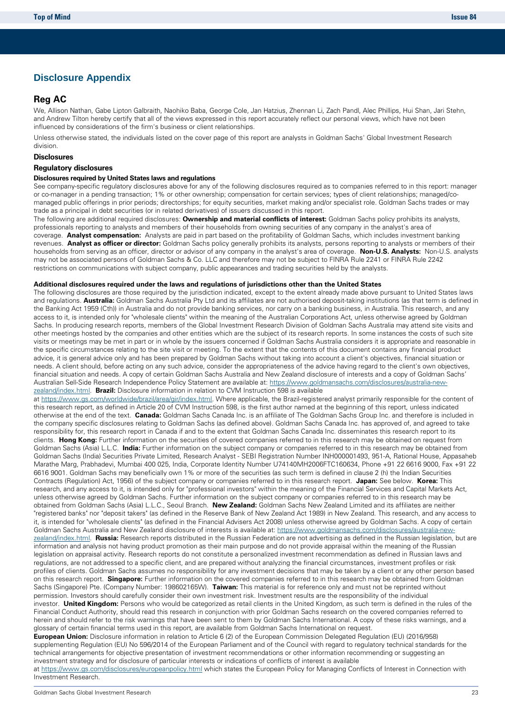#### **Disclosure Appendix**

#### **Reg AC**

We, Allison Nathan, Gabe Lipton Galbraith, Naohiko Baba, George Cole, Jan Hatzius, Zhennan Li, Zach Pandl, Alec Phillips, Hui Shan, Jari Stehn, and Andrew Tilton hereby certify that all of the views expressed in this report accurately reflect our personal views, which have not been influenced by considerations of the firm's business or client relationships.

Unless otherwise stated, the individuals listed on the cover page of this report are analysts in Goldman Sachs' Global Investment Research division.

#### **Disclosures**

#### **Regulatory disclosures**

#### **Disclosures required by United States laws and regulations**

See company-specific regulatory disclosures above for any of the following disclosures required as to companies referred to in this report: manager or co-manager in a pending transaction; 1% or other ownership; compensation for certain services; types of client relationships; managed/comanaged public offerings in prior periods; directorships; for equity securities, market making and/or specialist role. Goldman Sachs trades or may trade as a principal in debt securities (or in related derivatives) of issuers discussed in this report.

The following are additional required disclosures: **Ownership and material conflicts of interest:** Goldman Sachs policy prohibits its analysts, professionals reporting to analysts and members of their households from owning securities of any company in the analyst's area of coverage. **Analyst compensation:** Analysts are paid in part based on the profitability of Goldman Sachs, which includes investment banking revenues. **Analyst as officer or director:** Goldman Sachs policy generally prohibits its analysts, persons reporting to analysts or members of their households from serving as an officer, director or advisor of any company in the analyst's area of coverage. **Non-U.S. Analysts:** Non-U.S. analysts may not be associated persons of Goldman Sachs & Co. LLC and therefore may not be subject to FINRA Rule 2241 or FINRA Rule 2242 restrictions on communications with subject company, public appearances and trading securities held by the analysts.

#### **Additional disclosures required under the laws and regulations of jurisdictions other than the United States**

The following disclosures are those required by the jurisdiction indicated, except to the extent already made above pursuant to United States laws and regulations. **Australia:** Goldman Sachs Australia Pty Ltd and its affiliates are not authorised deposit-taking institutions (as that term is defined in the Banking Act 1959 (Cth)) in Australia and do not provide banking services, nor carry on a banking business, in Australia. This research, and any access to it, is intended only for "wholesale clients" within the meaning of the Australian Corporations Act, unless otherwise agreed by Goldman Sachs. In producing research reports, members of the Global Investment Research Division of Goldman Sachs Australia may attend site visits and other meetings hosted by the companies and other entities which are the subject of its research reports. In some instances the costs of such site visits or meetings may be met in part or in whole by the issuers concerned if Goldman Sachs Australia considers it is appropriate and reasonable in the specific circumstances relating to the site visit or meeting. To the extent that the contents of this document contains any financial product advice, it is general advice only and has been prepared by Goldman Sachs without taking into account a client's objectives, financial situation or needs. A client should, before acting on any such advice, consider the appropriateness of the advice having regard to the client's own objectives, financial situation and needs. A copy of certain Goldman Sachs Australia and New Zealand disclosure of interests and a copy of Goldman Sachs' Australian Sell-Side Research Independence Policy Statement are available at: [https://www.goldmansachs.com/disclosures/australia-new](https://www.goldmansachs.com/disclosures/australia-new-zealand/index.html)[zealand/index.html.](https://www.goldmansachs.com/disclosures/australia-new-zealand/index.html) **Brazil:** Disclosure information in relation to CVM Instruction 598 is available

at [https://www.gs.com/worldwide/brazil/area/gir/index.html.](https://www.gs.com/worldwide/brazil/area/gir/index.html) Where applicable, the Brazil-registered analyst primarily responsible for the content of this research report, as defined in Article 20 of CVM Instruction 598, is the first author named at the beginning of this report, unless indicated otherwise at the end of the text. **Canada:** Goldman Sachs Canada Inc. is an affiliate of The Goldman Sachs Group Inc. and therefore is included in the company specific disclosures relating to Goldman Sachs (as defined above). Goldman Sachs Canada Inc. has approved of, and agreed to take responsibility for, this research report in Canada if and to the extent that Goldman Sachs Canada Inc. disseminates this research report to its clients. **Hong Kong:** Further information on the securities of covered companies referred to in this research may be obtained on request from Goldman Sachs (Asia) L.L.C. **India:** Further information on the subject company or companies referred to in this research may be obtained from Goldman Sachs (India) Securities Private Limited, Research Analyst - SEBI Registration Number INH000001493, 951-A, Rational House, Appasaheb Marathe Marg, Prabhadevi, Mumbai 400 025, India, Corporate Identity Number U74140MH2006FTC160634, Phone +91 22 6616 9000, Fax +91 22 6616 9001. Goldman Sachs may beneficially own 1% or more of the securities (as such term is defined in clause 2 (h) the Indian Securities Contracts (Regulation) Act, 1956) of the subject company or companies referred to in this research report. **Japan:** See below. **Korea:** This research, and any access to it, is intended only for "professional investors" within the meaning of the Financial Services and Capital Markets Act, unless otherwise agreed by Goldman Sachs. Further information on the subject company or companies referred to in this research may be obtained from Goldman Sachs (Asia) L.L.C., Seoul Branch. **New Zealand:** Goldman Sachs New Zealand Limited and its affiliates are neither "registered banks" nor "deposit takers" (as defined in the Reserve Bank of New Zealand Act 1989) in New Zealand. This research, and any access to it, is intended for "wholesale clients" (as defined in the Financial Advisers Act 2008) unless otherwise agreed by Goldman Sachs. A copy of certain Goldman Sachs Australia and New Zealand disclosure of interests is available at: [https://www.goldmansachs.com/disclosures/australia-new](https://www.goldmansachs.com/disclosures/australia-new-zealand/index.html)[zealand/index.html.](https://www.goldmansachs.com/disclosures/australia-new-zealand/index.html) **Russia:** Research reports distributed in the Russian Federation are not advertising as defined in the Russian legislation, but are information and analysis not having product promotion as their main purpose and do not provide appraisal within the meaning of the Russian legislation on appraisal activity. Research reports do not constitute a personalized investment recommendation as defined in Russian laws and regulations, are not addressed to a specific client, and are prepared without analyzing the financial circumstances, investment profiles or risk profiles of clients. Goldman Sachs assumes no responsibility for any investment decisions that may be taken by a client or any other person based on this research report. **Singapore:** Further information on the covered companies referred to in this research may be obtained from Goldman Sachs (Singapore) Pte. (Company Number: 198602165W). **Taiwan:** This material is for reference only and must not be reprinted without permission. Investors should carefully consider their own investment risk. Investment results are the responsibility of the individual investor. **United Kingdom:** Persons who would be categorized as retail clients in the United Kingdom, as such term is defined in the rules of the Financial Conduct Authority, should read this research in conjunction with prior Goldman Sachs research on the covered companies referred to herein and should refer to the risk warnings that have been sent to them by Goldman Sachs International. A copy of these risks warnings, and a glossary of certain financial terms used in this report, are available from Goldman Sachs International on request. **European Union:** Disclosure information in relation to Article 6 (2) of the European Commission Delegated Regulation (EU) (2016/958) supplementing Regulation (EU) No 596/2014 of the European Parliament and of the Council with regard to regulatory technical standards for the

technical arrangements for objective presentation of investment recommendations or other information recommending or suggesting an investment strategy and for disclosure of particular interests or indications of conflicts of interest is available at <https://www.gs.com/disclosures/europeanpolicy.html> which states the European Policy for Managing Conflicts of Interest in Connection with Investment Research.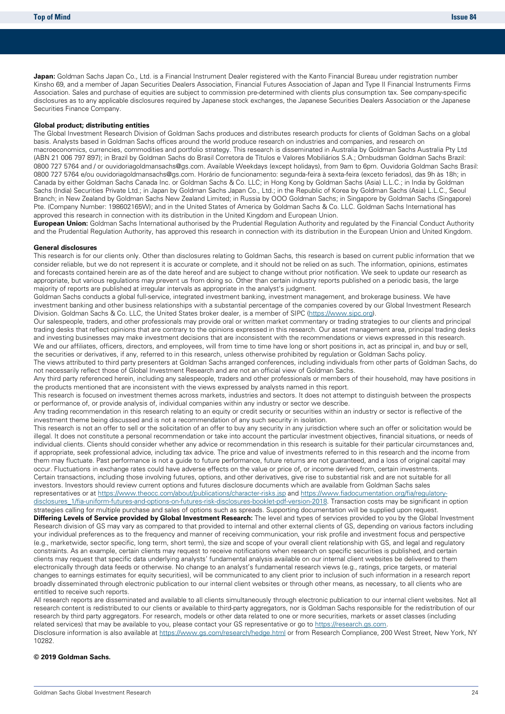**Japan:** Goldman Sachs Japan Co., Ltd. is a Financial Instrument Dealer registered with the Kanto Financial Bureau under registration number Kinsho 69, and a member of Japan Securities Dealers Association, Financial Futures Association of Japan and Type II Financial Instruments Firms Association. Sales and purchase of equities are subject to commission pre-determined with clients plus consumption tax. See company-specific disclosures as to any applicable disclosures required by Japanese stock exchanges, the Japanese Securities Dealers Association or the Japanese Securities Finance Company.

#### **Global product; distributing entities**

The Global Investment Research Division of Goldman Sachs produces and distributes research products for clients of Goldman Sachs on a global basis. Analysts based in Goldman Sachs offices around the world produce research on industries and companies, and research on macroeconomics, currencies, commodities and portfolio strategy. This research is disseminated in Australia by Goldman Sachs Australia Pty Ltd (ABN 21 006 797 897); in Brazil by Goldman Sachs do Brasil Corretora de Títulos e Valores Mobiliários S.A.; Ombudsman Goldman Sachs Brazil: 0800 727 5764 and / or ouvidoriagoldmansachs@gs.com. Available Weekdays (except holidays), from 9am to 6pm. Ouvidoria Goldman Sachs Brasil: 0800 727 5764 e/ou ouvidoriagoldmansachs@gs.com. Horário de funcionamento: segunda-feira à sexta-feira (exceto feriados), das 9h às 18h; in Canada by either Goldman Sachs Canada Inc. or Goldman Sachs & Co. LLC; in Hong Kong by Goldman Sachs (Asia) L.L.C.; in India by Goldman Sachs (India) Securities Private Ltd.; in Japan by Goldman Sachs Japan Co., Ltd.; in the Republic of Korea by Goldman Sachs (Asia) L.L.C., Seoul Branch; in New Zealand by Goldman Sachs New Zealand Limited; in Russia by OOO Goldman Sachs; in Singapore by Goldman Sachs (Singapore) Pte. (Company Number: 198602165W); and in the United States of America by Goldman Sachs & Co. LLC. Goldman Sachs International has approved this research in connection with its distribution in the United Kingdom and European Union.

**European Union:** Goldman Sachs International authorised by the Prudential Regulation Authority and regulated by the Financial Conduct Authority and the Prudential Regulation Authority, has approved this research in connection with its distribution in the European Union and United Kingdom.

#### **General disclosures**

This research is for our clients only. Other than disclosures relating to Goldman Sachs, this research is based on current public information that we consider reliable, but we do not represent it is accurate or complete, and it should not be relied on as such. The information, opinions, estimates and forecasts contained herein are as of the date hereof and are subject to change without prior notification. We seek to update our research as appropriate, but various regulations may prevent us from doing so. Other than certain industry reports published on a periodic basis, the large majority of reports are published at irregular intervals as appropriate in the analyst's judgment.

Goldman Sachs conducts a global full-service, integrated investment banking, investment management, and brokerage business. We have investment banking and other business relationships with a substantial percentage of the companies covered by our Global Investment Research Division. Goldman Sachs & Co. LLC, the United States broker dealer, is a member of SIPC [\(https://www.sipc.org\).](https://www.sipc.org/)

Our salespeople, traders, and other professionals may provide oral or written market commentary or trading strategies to our clients and principal trading desks that reflect opinions that are contrary to the opinions expressed in this research. Our asset management area, principal trading desks and investing businesses may make investment decisions that are inconsistent with the recommendations or views expressed in this research. We and our affiliates, officers, directors, and employees, will from time to time have long or short positions in, act as principal in, and buy or sell, the securities or derivatives, if any, referred to in this research, unless otherwise prohibited by regulation or Goldman Sachs policy.

The views attributed to third party presenters at Goldman Sachs arranged conferences, including individuals from other parts of Goldman Sachs, do not necessarily reflect those of Global Investment Research and are not an official view of Goldman Sachs.

Any third party referenced herein, including any salespeople, traders and other professionals or members of their household, may have positions in the products mentioned that are inconsistent with the views expressed by analysts named in this report.

This research is focused on investment themes across markets, industries and sectors. It does not attempt to distinguish between the prospects or performance of, or provide analysis of, individual companies within any industry or sector we describe.

Any trading recommendation in this research relating to an equity or credit security or securities within an industry or sector is reflective of the investment theme being discussed and is not a recommendation of any such security in isolation.

This research is not an offer to sell or the solicitation of an offer to buy any security in any jurisdiction where such an offer or solicitation would be illegal. It does not constitute a personal recommendation or take into account the particular investment objectives, financial situations, or needs of individual clients. Clients should consider whether any advice or recommendation in this research is suitable for their particular circumstances and, if appropriate, seek professional advice, including tax advice. The price and value of investments referred to in this research and the income from them may fluctuate. Past performance is not a guide to future performance, future returns are not guaranteed, and a loss of original capital may occur. Fluctuations in exchange rates could have adverse effects on the value or price of, or income derived from, certain investments. Certain transactions, including those involving futures, options, and other derivatives, give rise to substantial risk and are not suitable for all investors. Investors should review current options and futures disclosure documents which are available from Goldman Sachs sales representatives or at <https://www.theocc.com/about/publications/character-risks.jsp> and [https://www.fiadocumentation.org/fia/regulatory](https://www.fiadocumentation.org/fia/regulatory-disclosures_1/fia-uniform-futures-and-options-on-futures-risk-disclosures-booklet-pdf-version-2018)[disclosures\\_1/fia-uniform-futures-and-options-on-futures-risk-disclosures-booklet-pdf-version-2018.](https://www.fiadocumentation.org/fia/regulatory-disclosures_1/fia-uniform-futures-and-options-on-futures-risk-disclosures-booklet-pdf-version-2018) Transaction costs may be significant in option strategies calling for multiple purchase and sales of options such as spreads. Supporting documentation will be supplied upon request. **Differing Levels of Service provided by Global Investment Research:** The level and types of services provided to you by the Global Investment Research division of GS may vary as compared to that provided to internal and other external clients of GS, depending on various factors including your individual preferences as to the frequency and manner of receiving communication, your risk profile and investment focus and perspective

(e.g., marketwide, sector specific, long term, short term), the size and scope of your overall client relationship with GS, and legal and regulatory constraints. As an example, certain clients may request to receive notifications when research on specific securities is published, and certain clients may request that specific data underlying analysts' fundamental analysis available on our internal client websites be delivered to them electronically through data feeds or otherwise. No change to an analyst's fundamental research views (e.g., ratings, price targets, or material changes to earnings estimates for equity securities), will be communicated to any client prior to inclusion of such information in a research report broadly disseminated through electronic publication to our internal client websites or through other means, as necessary, to all clients who are entitled to receive such reports.

All research reports are disseminated and available to all clients simultaneously through electronic publication to our internal client websites. Not all research content is redistributed to our clients or available to third-party aggregators, nor is Goldman Sachs responsible for the redistribution of our research by third party aggregators. For research, models or other data related to one or more securities, markets or asset classes (including related services) that may be available to you, please contact your GS representative or go to [https://research.gs.com.](https://research.gs.com/) Disclosure information is also available at <https://www.gs.com/research/hedge.html> or from Research Compliance, 200 West Street, New York, NY

**© 2019 Goldman Sachs.**

10282.